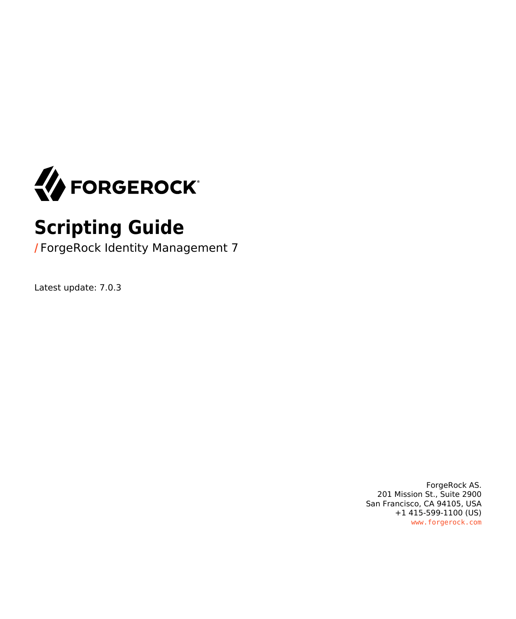

# **Scripting Guide**

**/** ForgeRock Identity Management 7

Latest update: 7.0.3

ForgeRock AS. 201 Mission St., Suite 2900 San Francisco, CA 94105, USA +1 415-599-1100 (US) www.forgerock.com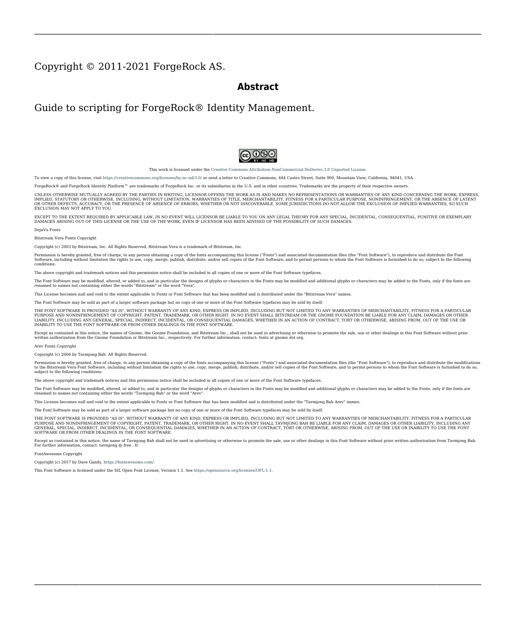#### Copyright © 2011-2021 ForgeRock AS.

#### **Abstract**

#### Guide to scripting for ForgeRock® Identity Management.



This work is licensed under the [Creative Commons Attribution-NonCommercial-NoDerivs 3.0 Unported License.](https://creativecommons.org/licenses/by-nc-nd/3.0/)

To view a copy of this license, visit <https://creativecommons.org/licenses/by-nc-nd/3.0/> or send a letter to Creative Commons, 444 Castro Street, Suite 900, Mountain View, California, 94041, USA.

ForgeRock® and ForgeRock Identity Platform™ are trademarks of ForgeRock Inc. or its subsidiaries in the U.S. and in other countries. Trademarks are the property of their respective owners.

UNLESS OTHERWISE MUTUALLY AGREED BY THE PARTIES IN WRITING, LICENSOR OFFERS THE WORK AS-IS AND MAKES NOTHERWISCOR WARRANTIES OF ANY KIND CONCERNING THE WORK, EXPRESS, THE WORK, EXPRESS, THE WORK, EXPRESS, THE WORK, AND MAK IMPLIED, STATUTORY OR OTHERWISE, INCLUDING, WITHOUT LIMITATION, WARRANTIES OF TITLE, MERCHANTABILITY, FITNESS FOR A PARTICULAR PURPOSE, NONINFRINGEMENT, OR THE ABSENCE OF LATENT<br>OR OTHER DEFECTS, ACCURACY, OR THE PRESENCE

EXCEPT TO THE EXTENT REQUIRED BY APPLICABLE LAW, IN NO EVENT WILL LICENSOR BE LIABLE TO YOU ON ANY LEGAL THEORY FOR ANY ISLOCKERT ALLOCATED TO THE STATE ON SERVENTIAL, PONCE OUR EXEMPLARY CONSEQUENTIAL, PONTIVE OR EXEMPLAR

DejaVu Fonts

Bitstream Vera Fonts Copyright

Copyright (c) 2003 by Bitstream, Inc. All Rights Reserved. Bitstream Vera is a trademark of Bitstream, Inc.

Permission is hereby granted, free of charge, to any person obtaining a copy of the fonts accompanying this license ("Fonts") and associated documentation files ("hent Font Software, including without instanded to do so, s conditions:

The above copyright and trademark notices and this permission notice shall be included in all copies of one or more of the Font Software typefaces.

The Font Software may be modified, altered, or added to, and in particular the designs of glyphs or characters in the Fonts may be modified and additional glyphs or characters may be added to the Fonts, only if the fonts a renamed to names not containing either the words "Bitstream" or the word "Vera".

This License becomes null and void to the extent applicable to Fonts or Font Software that has been modified and is distributed under the "Bitstream Vera" names.

The Font Software may be sold as part of a larger software package but no copy of one or more of the Font Software typefaces may be sold by itself.

THE FONT SOFTWARE IS PROVIDED "AS IS", WITHOUT WARRANTY OF ANY KNO. EXPRESS OR IMPLIED, MANUTHED TO ANY WARRANTES OF MERCHANTABILITY, FITNESS FOR A PARTICULARY INCOLLED THE SURFACT AND THE SURFACT AND NOT A THE SURFACT AND

Except as contained in this notice, the names of Gnome, the Gnome Foundation, and Bitstream Inc., shall not be used in advertising or otherwise to promote the sale, use or other dealings in this Font Software without prior

Arev Fonts Copyright

Copyright (c) 2006 by Tavmjong Bah. All Rights Reserved.

Permission is hereby granted, free of charge, to any person obtaining a copy of the fonts accompanying this license ("Fonts") and associated documentation files (the "Font Software"), to reproduce and distribute the modifi to the Bitstream Vera Font Software, including without limitation the rights to use, copy, merge, publish, distribute, and/or sell copies of the Font Software, and to permit persons to whom the Font Software is furnished t subject to the following conditions:

The above copyright and trademark notices and this permission notice shall be included in all copies of one or more of the Font Software typefaces.

The Font Software may be modified, altered, or added to, and in particular the designs of glyphs or characters in the Fonts may be modified and additional glyphs or characters may be added to the Fonts, only if the fonts a

This License becomes null and void to the extent applicable to Fonts or Font Software that has been modified and is distributed under the "Tavmjong Bah Arev" names.

The Font Software may be sold as part of a larger software package but no copy of one or more of the Font Software typefaces may be sold by itself.

THE FONT SOFTWARE IS PROVIDED "AS IS", WITHOUT WARRANTY OF ANY KIND, EXPRESS OR IMPLIED, INCLUDING BUT NOT LIMITED TO ANY WARRANTIES OF MERCHANTABILITY, FITNESS FOR A PARTICULAR PURPOSE AND NONINFRINGEMENT OF COPYRIGHT, TRADEMARK, OR OTHER RIGHT. IN NO EVENT SHAL TAVMJONG BAH BE LIABLE FOR ANY CLAM, DAMAGES OR OTHER LIABILITY, INCLUDING ANY MELL THE TOT THE USE OR INABILITY TO USE THE FONT<br>GENERAL SOFTWARE OR FROM OTHER DEALINGS IN THE FONT SOFTWARE.

Except as contained in this notice, the name of Taymjong Bah shall not be used in advertising or otherwise to promote the sale, use or other dealings in this Font Software without prior written authorization from Taymjong For further information, contact: tavmjong @ free . i

FontAwesome Copyright

Copyright (c) 2017 by Dave Gandy, [https://fontawesome.com/.](https://fontawesome.com/)

This Font Software is licensed under the SIL Open Font License, Version 1.1. See<https://opensource.org/licenses/OFL-1.1>.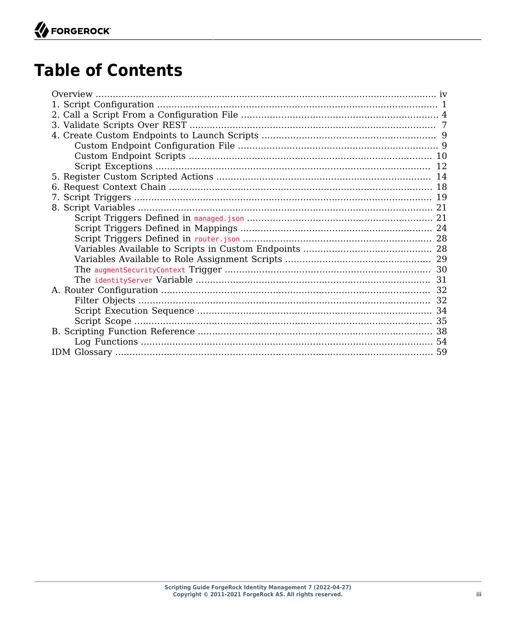# **Table of Contents**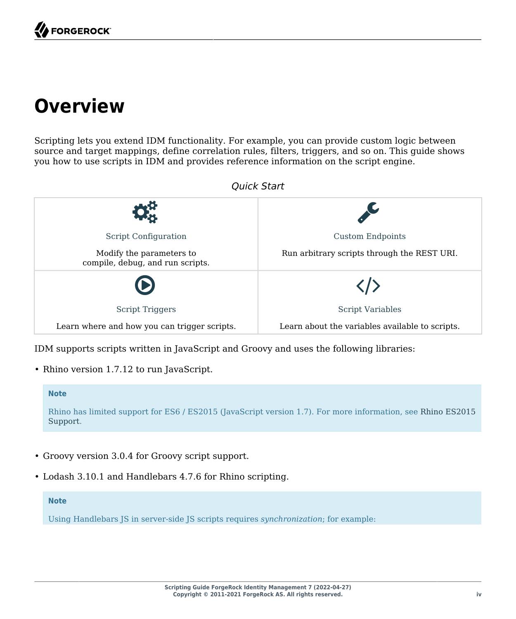# <span id="page-3-0"></span>**Overview**

Scripting lets you extend IDM functionality. For example, you can provide custom logic between source and target mappings, define correlation rules, filters, triggers, and so on. This guide shows you how to use scripts in IDM and provides reference information on the script engine.



IDM supports scripts written in JavaScript and Groovy and uses the following libraries:

• Rhino version 1.7.12 to run JavaScript.

#### **Note**

Rhino has limited support for ES6 / ES2015 (JavaScript version 1.7). For more information, see [Rhino ES2015](https://mozilla.github.io/rhino/compat/engines.html) [Support](https://mozilla.github.io/rhino/compat/engines.html).

- Groovy version 3.0.4 for Groovy script support.
- Lodash 3.10.1 and Handlebars 4.7.6 for Rhino scripting.

#### **Note**

Using Handlebars JS in server-side JS scripts requires *synchronization*; for example: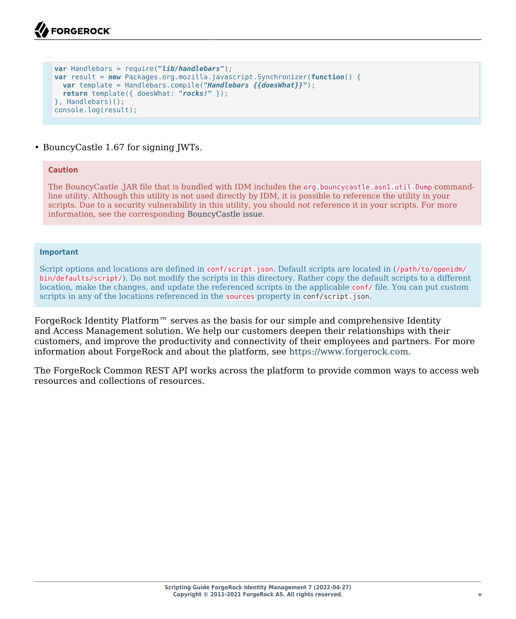```
var Handlebars = require("lib/handlebars");
var result = new Packages.org.mozilla.javascript.Synchronizer(function() {
  var template = Handlebars.compile("Handlebars {{doesWhat}}");
  return template({ doesWhat: "rocks!" });
}, Handlebars)();
console.log(result);
```
#### • BouncyCastle 1.67 for signing JWTs.

#### **Caution**

The BouncyCastle .JAR file that is bundled with IDM includes the org.bouncycastle.asn1.util.Dump commandline utility. Although this utility is not used directly by IDM, it is possible to reference the utility in your scripts. Due to a security vulnerability in this utility, you should *not* reference it in your scripts. For more information, see the corresponding [BouncyCastle issue.](https://github.com/bcgit/bc-java/issues/634)

#### **Important**

Script options and locations are defined in conf/script.json. Default scripts are located in (/path/to/openidm/ bin/defaults/script/). Do not modify the scripts in this directory. Rather copy the default scripts to a different location, make the changes, and update the referenced scripts in the applicable conf/ file. You can put custom scripts in any of the locations referenced in the sources property in [conf/script.json](#page-5-0).

ForgeRock Identity Platform™ serves as the basis for our simple and comprehensive Identity and Access Management solution. We help our customers deepen their relationships with their customers, and improve the productivity and connectivity of their employees and partners. For more information about ForgeRock and about the platform, see <https://www.forgerock.com>.

The ForgeRock Common REST API works across the platform to provide common ways to access web resources and collections of resources.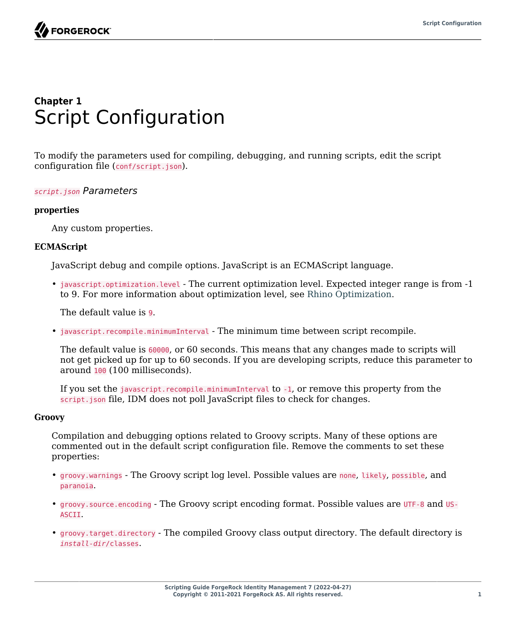

# <span id="page-5-0"></span>**Chapter 1** Script Configuration

To modify the parameters used for compiling, debugging, and running scripts, edit the script configuration file (conf/script.json).

#### *script.json Parameters*

#### **properties**

Any custom properties.

#### **ECMAScript**

JavaScript debug and compile options. JavaScript is an ECMAScript language.

• javascript.optimization.level - The current optimization level. Expected integer range is from -1 to 9. For more information about optimization level, see [Rhino Optimization.](https://developer.mozilla.org/en-US/docs/Mozilla/Projects/Rhino/Optimization)

The default value is 9.

• javascript.recompile.minimumInterval - The minimum time between script recompile.

The default value is 60000, or 60 seconds. This means that any changes made to scripts will not get picked up for up to 60 seconds. If you are developing scripts, reduce this parameter to around 100 (100 milliseconds).

If you set the javascript.recompile.minimumInterval to -1, or remove this property from the script.json file, IDM does not poll JavaScript files to check for changes.

#### **Groovy**

Compilation and debugging options related to Groovy scripts. Many of these options are commented out in the default script configuration file. Remove the comments to set these properties:

- groovy.warnings The Groovy script log level. Possible values are none, likely, possible, and paranoia.
- groovy.source.encoding The Groovy script encoding format. Possible values are UTF-8 and US-ASCII.
- groovy.target.directory The compiled Groovy class output directory. The default directory is *install-dir*/classes.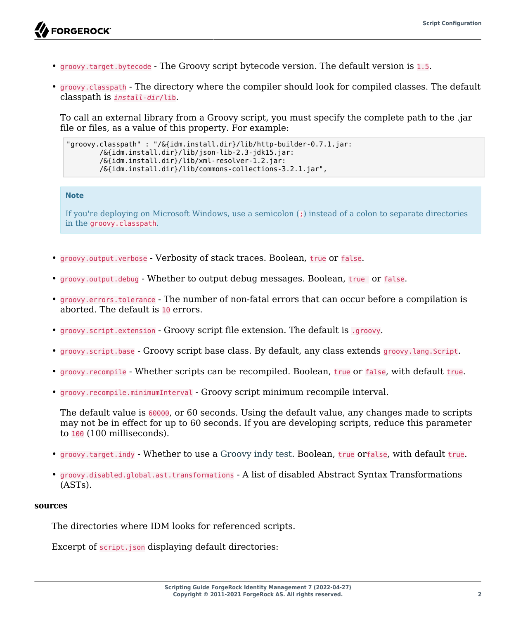- groovy.target.bytecode The Groovy script bytecode version. The default version is 1.5.
- groovy.classpath The directory where the compiler should look for compiled classes. The default classpath is *install-dir*/lib.

To call an external library from a Groovy script, you must specify the complete path to the .jar file or files, as a value of this property. For example:

```
"groovy.classpath" : "/&{idm.install.dir}/lib/http-builder-0.7.1.jar:
         /&{idm.install.dir}/lib/json-lib-2.3-jdk15.jar:
         /&{idm.install.dir}/lib/xml-resolver-1.2.jar:
         /&{idm.install.dir}/lib/commons-collections-3.2.1.jar",
```
#### **Note**

If you're deploying on Microsoft Windows, use a semicolon (;) instead of a colon to separate directories in the groovy.classpath.

- groovy.output.verbose Verbosity of stack traces. Boolean, true or false.
- groovy.output.debug Whether to output debug messages. Boolean, true or false.
- groovy.errors.tolerance The number of non-fatal errors that can occur before a compilation is aborted. The default is 10 errors.
- groovy.script.extension Groovy script file extension. The default is .groovy.
- groovy.script.base Groovy script base class. By default, any class extends groovy.lang.Script.
- groovy.recompile Whether scripts can be recompiled. Boolean, true or false, with default true.
- groovy.recompile.minimumInterval Groovy script minimum recompile interval.

The default value is 60000, or 60 seconds. Using the default value, any changes made to scripts may not be in effect for up to 60 seconds. If you are developing scripts, reduce this parameter to 100 (100 milliseconds).

- groovy.target.indy Whether to use a [Groovy indy test.](http://docs.groovy-lang.org/latest/html/documentation/invokedynamic-support.html) Boolean, true orfalse, with default true.
- groovy.disabled.global.ast.transformations A list of disabled Abstract Syntax Transformations (ASTs).

#### **sources**

The directories where IDM looks for referenced scripts.

Excerpt of script.json displaying default directories: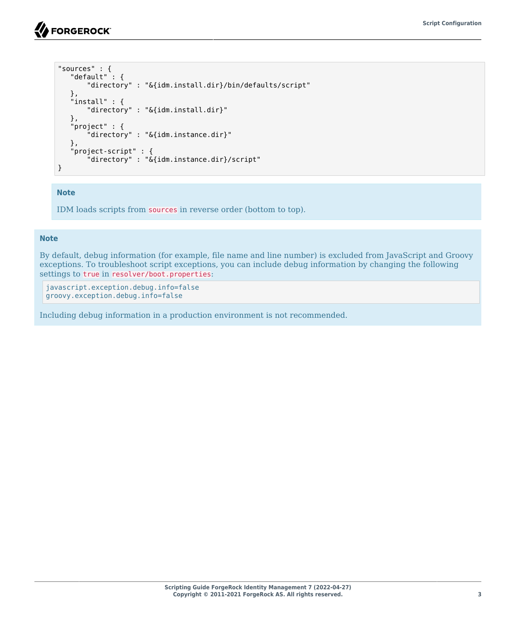```
"sources" : {
    "default" : {
        "directory" : "&{idm.install.dir}/bin/defaults/script"
 },
 "install" : {
        "directory" : "&{idm.install.dir}"
    },
    "project" : {
        "directory" : "&{idm.instance.dir}"
    },
    "project-script" : {
        "directory" : "&{idm.instance.dir}/script"
}
```
#### **Note**

IDM loads scripts from sources in reverse order (bottom to top).

#### **Note**

By default, debug information (for example, file name and line number) is excluded from JavaScript and Groovy exceptions. To troubleshoot script exceptions, you can include debug information by changing the following settings to true in resolver/boot.properties:

javascript.exception.debug.info=false groovy.exception.debug.info=false

Including debug information in a production environment is not recommended.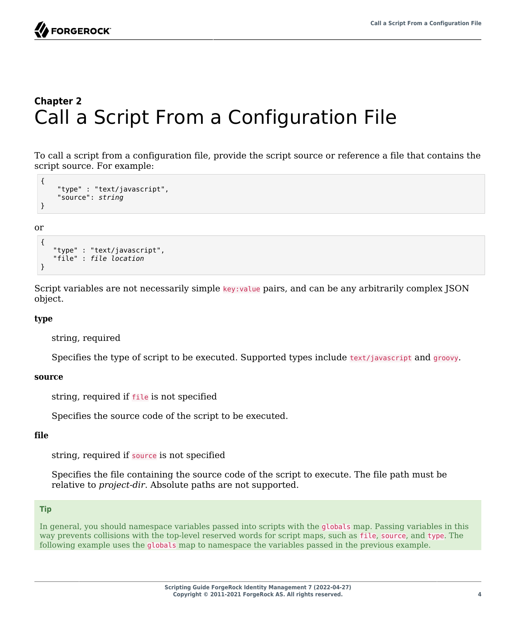

# <span id="page-8-0"></span>**Chapter 2** Call a Script From a Configuration File

To call a script from a configuration file, provide the script source or reference a file that contains the script source. For example:

```
{
     "type" : "text/javascript",
     "source": string
}
```
or

```
{
    "type" : "text/javascript",
    "file" : file location
}
```
Script variables are not necessarily simple key:value pairs, and can be any arbitrarily complex JSON object.

#### **type**

string, required

Specifies the type of script to be executed. Supported types include text/javascript and groovy.

#### **source**

string, required if file is not specified

Specifies the source code of the script to be executed.

#### **file**

string, required if source is not specified

Specifies the file containing the source code of the script to execute. The file path must be relative to *project-dir*. Absolute paths are not supported.

#### **Tip**

In general, you should namespace variables passed into scripts with the globals map. Passing variables in this way prevents collisions with the top-level reserved words for script maps, such as file, source, and type. The following example uses the globals map to namespace the variables passed in the previous example.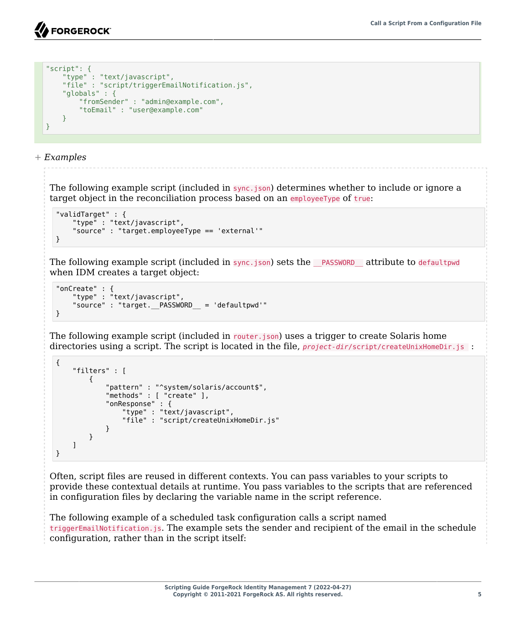```
"script": {
     "type" : "text/javascript",
     "file" : "script/triggerEmailNotification.js",
     "globals" : {
         "fromSender" : "admin@example.com",
         "toEmail" : "user@example.com"
     }
}
```
*+ Examples*

The following example script (included in sync.json) determines whether to include or ignore a target object in the reconciliation process based on an employeeType of true:

```
"validTarget" : {
 "type" : "text/javascript",
     "source" : "target.employeeType == 'external'"
}
```
The following example script (included in sync.json) sets the \_\_PASSWORD \_\_attribute to defaultpwd when IDM creates a target object:

```
"onCreate" : {
     "type" : "text/javascript",
    "source" : "target. PASSWORD = 'defaultpwd'"
}
```
The following example script (included in router.json) uses a trigger to create Solaris home directories using a script. The script is located in the file, *project-dir*/script/createUnixHomeDir.js :

```
{
    "filters" : [
        {
           "pattern" : "^system/solaris/account$",
           "methods" : [ "create" ],
           "onResponse" : {
 "type" : "text/javascript",
 "file" : "script/createUnixHomeDir.js"
 }
       }
    ]
}
```
Often, script files are reused in different contexts. You can pass variables to your scripts to provide these contextual details at runtime. You pass variables to the scripts that are referenced in configuration files by declaring the variable name in the script reference.

The following example of a scheduled task configuration calls a script named triggerEmailNotification.js. The example sets the sender and recipient of the email in the schedule configuration, rather than in the script itself: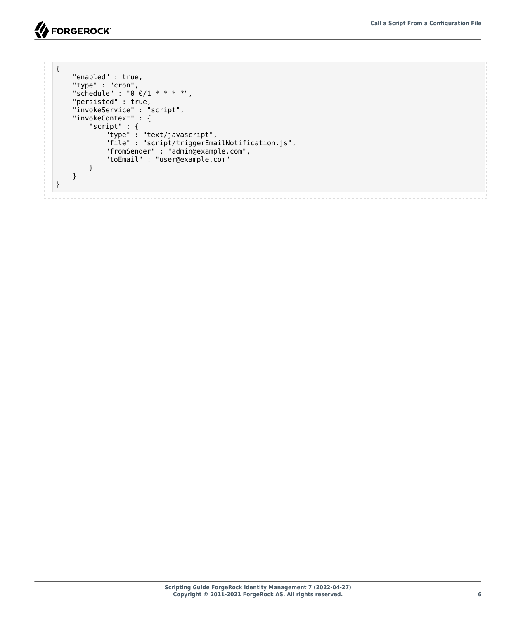```
{
    "enabled" : true,
    "type" : "cron",
 "schedule" : "0 0/1 * * * ?",
 "persisted" : true,
 "invokeService" : "script",
 "invokeContext" : {
        "script" : {
            "type" : "text/javascript",
            "file" : "script/triggerEmailNotification.js",
 "fromSender" : "admin@example.com",
 "toEmail" : "user@example.com"
        }
    }
}
```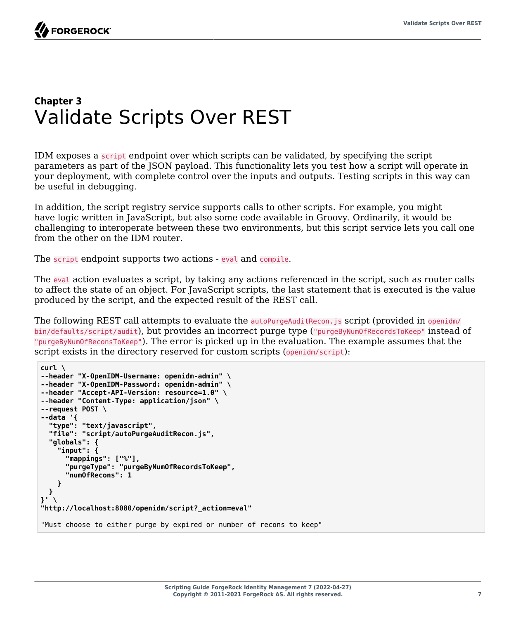# <span id="page-11-0"></span>**Chapter 3** Validate Scripts Over REST

IDM exposes a script endpoint over which scripts can be validated, by specifying the script parameters as part of the JSON payload. This functionality lets you test how a script will operate in your deployment, with complete control over the inputs and outputs. Testing scripts in this way can be useful in debugging.

In addition, the script registry service supports calls to other scripts. For example, you might have logic written in JavaScript, but also some code available in Groovy. Ordinarily, it would be challenging to interoperate between these two environments, but this script service lets you call one from the other on the IDM router.

The script endpoint supports two actions - eval and compile.

The eval action evaluates a script, by taking any actions referenced in the script, such as router calls to affect the state of an object. For JavaScript scripts, the last statement that is executed is the value produced by the script, and the expected result of the REST call.

The following REST call attempts to evaluate the autoPurgeAuditRecon. is script (provided in openidm/ bin/defaults/script/audit), but provides an incorrect purge type ("purgeByNumOfRecordsToKeep" instead of "purgeByNumOfReconsToKeep"). The error is picked up in the evaluation. The example assumes that the script exists in the directory reserved for custom scripts (openidm/script):

```
curl \
--header "X-OpenIDM-Username: openidm-admin" \
--header "X-OpenIDM-Password: openidm-admin" \
--header "Accept-API-Version: resource=1.0" \
--header "Content-Type: application/json" \
--request POST \
--data '{
   "type": "text/javascript",
   "file": "script/autoPurgeAuditRecon.js",
   "globals": {
     "input": {
       "mappings": ["%"],
       "purgeType": "purgeByNumOfRecordsToKeep",
       "numOfRecons": 1
     }
  }
}' \
"http://localhost:8080/openidm/script?_action=eval"
"Must choose to either purge by expired or number of recons to keep"
```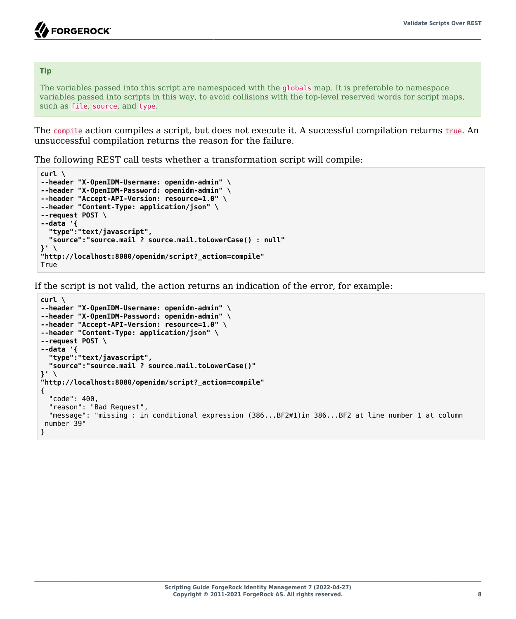#### **Tip**

The variables passed into this script are namespaced with the globals map. It is preferable to namespace variables passed into scripts in this way, to avoid collisions with the top-level reserved words for script maps, such as file, source, and type.

The compile action compiles a script, but does not execute it. A successful compilation returns true. An unsuccessful compilation returns the reason for the failure.

The following REST call tests whether a transformation script will compile:

```
curl \
--header "X-OpenIDM-Username: openidm-admin" \
--header "X-OpenIDM-Password: openidm-admin" \
--header "Accept-API-Version: resource=1.0" \
--header "Content-Type: application/json" \
--request POST \
--data '{
   "type":"text/javascript",
   "source":"source.mail ? source.mail.toLowerCase() : null"
}' \
"http://localhost:8080/openidm/script?_action=compile"
True
```
If the script is not valid, the action returns an indication of the error, for example:

```
curl \
--header "X-OpenIDM-Username: openidm-admin" \
--header "X-OpenIDM-Password: openidm-admin" \
--header "Accept-API-Version: resource=1.0" \
--header "Content-Type: application/json" \
--request POST \
--data '{
  "type":"text/javascript",
  "source":"source.mail ? source.mail.toLowerCase()"
}' \
"http://localhost:8080/openidm/script?_action=compile"
{
  "code": 400,
   "reason": "Bad Request",
  "message": "missing : in conditional expression (386...BF2#1)in 386...BF2 at line number 1 at column
 number 39"
}
```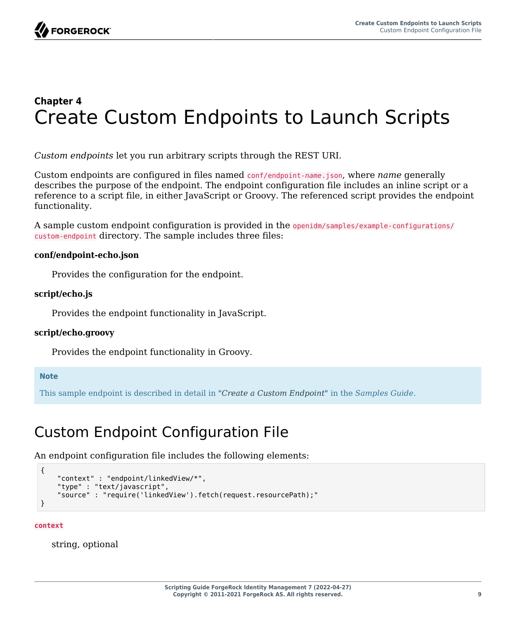# <span id="page-13-0"></span>**Chapter 4** Create Custom Endpoints to Launch Scripts

*Custom endpoints* let you run arbitrary scripts through the REST URI.

Custom endpoints are configured in files named conf/endpoint-*name*.json, where *name* generally describes the purpose of the endpoint. The endpoint configuration file includes an inline script or a reference to a script file, in either JavaScript or Groovy. The referenced script provides the endpoint functionality.

A sample custom endpoint configuration is provided in the openidm/samples/example-configurations/ custom-endpoint directory. The sample includes three files:

#### **conf/endpoint-echo.json**

Provides the configuration for the endpoint.

#### **script/echo.js**

Provides the endpoint functionality in JavaScript.

### **script/echo.groovy**

Provides the endpoint functionality in Groovy.

#### **Note**

<span id="page-13-1"></span>This sample endpoint is described in detail in "*Create a Custom Endpoint*" in the *Samples Guide*.

# Custom Endpoint Configuration File

An endpoint configuration file includes the following elements:

```
{
     "context" : "endpoint/linkedView/*",
     "type" : "text/javascript",
     "source" : "require('linkedView').fetch(request.resourcePath);"
}
```
**context**

string, optional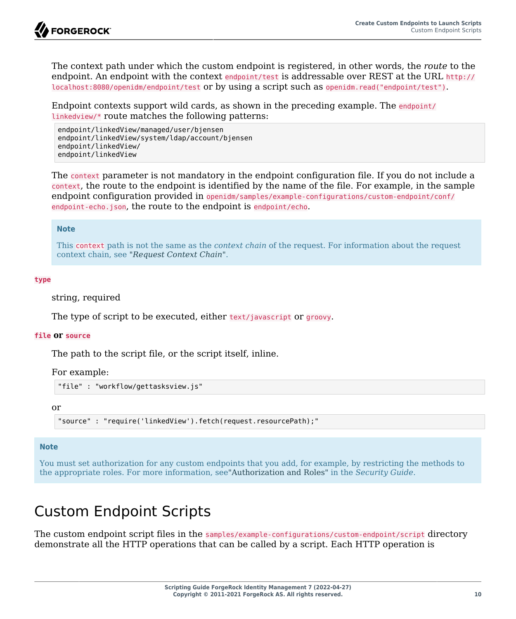The context path under which the custom endpoint is registered, in other words, the *route* to the endpoint. An endpoint with the context endpoint/test is addressable over REST at the URL http:// localhost:8080/openidm/endpoint/test or by using a script such as openidm.read("endpoint/test").

Endpoint contexts support wild cards, as shown in the preceding example. The endpoint/ linkedview/\* route matches the following patterns:

```
endpoint/linkedView/managed/user/bjensen
endpoint/linkedView/system/ldap/account/bjensen
endpoint/linkedView/
endpoint/linkedView
```
The context parameter is not mandatory in the endpoint configuration file. If you do not include a context, the route to the endpoint is identified by the name of the file. For example, in the sample endpoint configuration provided in openidm/samples/example-configurations/custom-endpoint/conf/ endpoint-echo.json, the route to the endpoint is endpoint/echo.

#### **Note**

This context path is not the same as the *context chain* of the request. For information about the request context chain, see "*[Request Context Chain](#page-22-0)*".

#### **type**

string, required

The type of script to be executed, either text/javascript or groovy.

#### **file or source**

The path to the script file, or the script itself, inline.

For example:

```
"file" : "workflow/gettasksview.js"
```
or

"source" : "require('linkedView').fetch(request.resourcePath);"

#### **Note**

You must set authorization for any custom endpoints that you add, for example, by restricting the methods to the appropriate roles. For more information, see"Authorization and Roles" in the *Security Guide*.

# <span id="page-14-0"></span>Custom Endpoint Scripts

The custom endpoint script files in the samples/example-configurations/custom-endpoint/script directory demonstrate all the HTTP operations that can be called by a script. Each HTTP operation is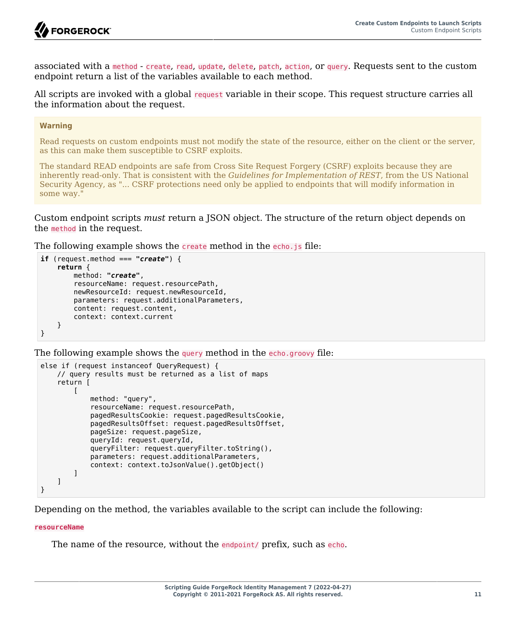

associated with a method - create, read, update, delete, patch, action, or query. Requests sent to the custom endpoint return a list of the variables available to each method.

All scripts are invoked with a global request variable in their scope. This request structure carries all the information about the request.

#### **Warning**

Read requests on custom endpoints must not modify the state of the resource, either on the client or the server, as this can make them susceptible to CSRF exploits.

The standard READ endpoints are safe from Cross Site Request Forgery (CSRF) exploits because they are inherently read-only. That is consistent with the *Guidelines for Implementation of REST*, from the US National Security Agency, as "... CSRF protections need only be applied to endpoints that will modify information in some way."

Custom endpoint scripts *must* return a JSON object. The structure of the return object depends on the method in the request.

The following example shows the create method in the echo. is file:

```
if (request.method === "create") {
     return {
         method: "create",
         resourceName: request.resourcePath,
         newResourceId: request.newResourceId,
         parameters: request.additionalParameters,
         content: request.content,
         context: context.current
     }
}
```
The following example shows the query method in the echo.groovy file:

```
else if (request instanceof QueryRequest) {
     // query results must be returned as a list of maps
     return [
\blacksquare method: "query",
             resourceName: request.resourcePath,
             pagedResultsCookie: request.pagedResultsCookie,
             pagedResultsOffset: request.pagedResultsOffset,
             pageSize: request.pageSize,
             queryId: request.queryId,
             queryFilter: request.queryFilter.toString(),
             parameters: request.additionalParameters,
             context: context.toJsonValue().getObject()
         ]
     ]
}
```
Depending on the method, the variables available to the script can include the following:

#### **resourceName**

The name of the resource, without the endpoint/ prefix, such as echo.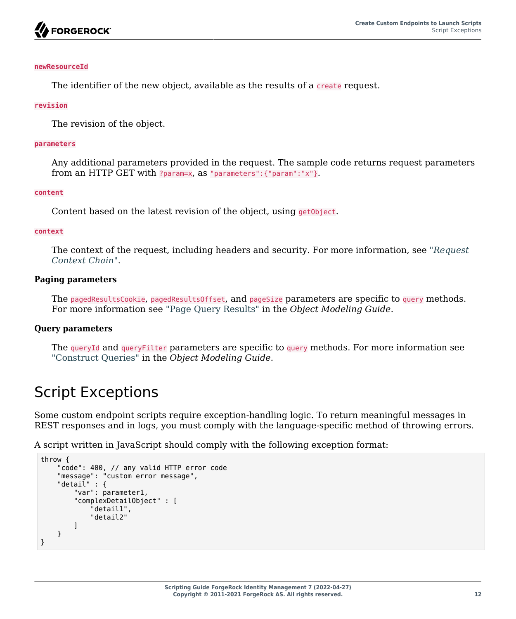

#### **newResourceId**

The identifier of the new object, available as the results of a create request.

#### **revision**

The revision of the object.

#### **parameters**

Any additional parameters provided in the request. The sample code returns request parameters from an HTTP GET with ?param=x, as "parameters":{"param":"x"}.

#### **content**

Content based on the latest revision of the object, using getObject.

#### **context**

The context of the request, including headers and security. For more information, see "*[Request](#page-22-0) [Context Chain](#page-22-0)*".

#### **Paging parameters**

The pagedResultsCookie, pagedResultsOffset, and pageSize parameters are specific to query methods. For more information see "Page Query Results" in the *Object Modeling Guide*.

#### **Query parameters**

The queryId and queryFilter parameters are specific to query methods. For more information see "Construct Queries" in the *Object Modeling Guide*.

# <span id="page-16-0"></span>Script Exceptions

Some custom endpoint scripts require exception-handling logic. To return meaningful messages in REST responses and in logs, you must comply with the language-specific method of throwing errors.

A script written in JavaScript should comply with the following exception format:

```
throw {
     "code": 400, // any valid HTTP error code
     "message": "custom error message",
     "detail" : {
          "var": parameter1,
          "complexDetailObject" : [
              "detail1",
              "detail2"
         \bf{l} }
}
```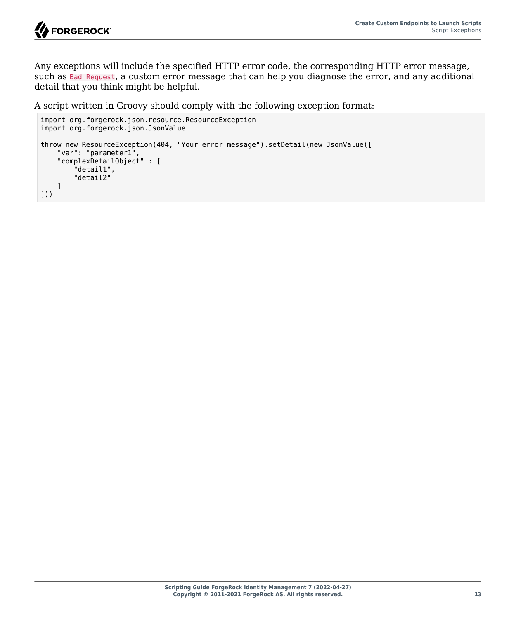

Any exceptions will include the specified HTTP error code, the corresponding HTTP error message, such as Bad Request, a custom error message that can help you diagnose the error, and any additional detail that you think might be helpful.

A script written in Groovy should comply with the following exception format:

```
import org.forgerock.json.resource.ResourceException
import org.forgerock.json.JsonValue
throw new ResourceException(404, "Your error message").setDetail(new JsonValue([
     "var": "parameter1",
     "complexDetailObject" : [
         "detail1",
         "detail2"
     ]
]))
```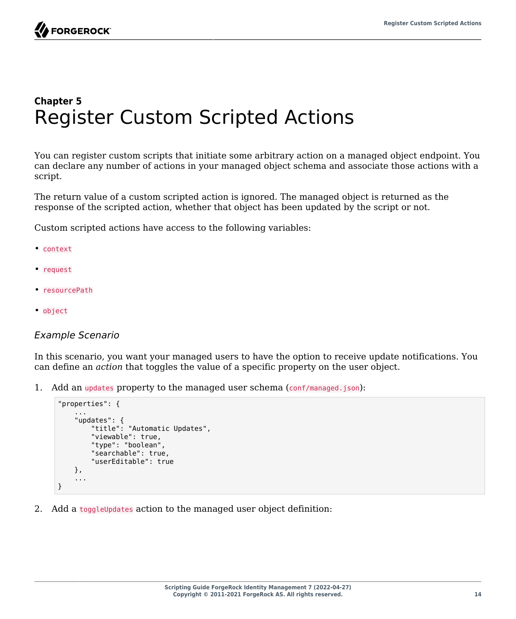FORGEROCK

# <span id="page-18-0"></span>**Chapter 5** Register Custom Scripted Actions

You can register custom scripts that initiate some arbitrary action on a managed object endpoint. You can declare any number of actions in your managed object schema and associate those actions with a script.

The return value of a custom scripted action is ignored. The managed object is returned as the response of the scripted action, whether that object has been updated by the script or not.

Custom scripted actions have access to the following variables:

- context
- request
- resourcePath
- object

#### *Example Scenario*

In this scenario, you want your managed users to have the option to receive update notifications. You can define an *action* that toggles the value of a specific property on the user object.

1. Add an updates property to the managed user schema (conf/managed.json):

```
"properties": {
 ...
     "updates": {
         "title": "Automatic Updates",
         "viewable": true,
         "type": "boolean",
         "searchable": true,
         "userEditable": true
     },
     ...
}
```
2. Add a toggleUpdates action to the managed user object definition: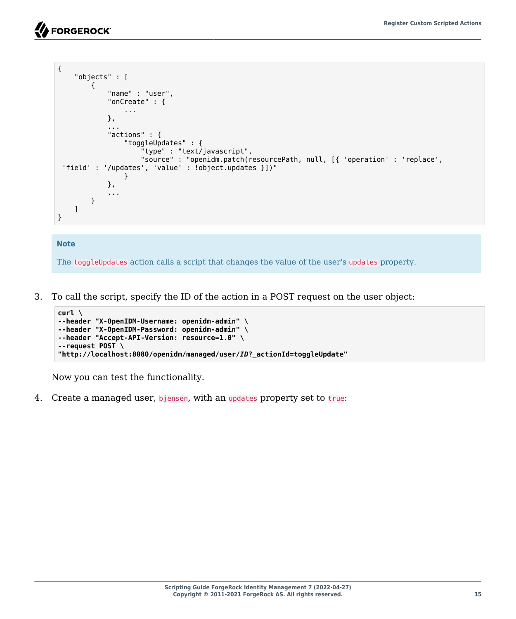# **SE FORGEROCK**

```
{
      "objects" : [
          {
               "name" : "user",
               "onCreate" : {
                    ...
               },
               ...
               "actions" : {
                    "toggleUpdates" : {
                        "type" : "text/javascript",
                        "source" : "openidm.patch(resourcePath, null, [{ 'operation' : 'replace',
  'field' : '/updates', 'value' : !object.updates }])"
}<sub>{\\particle}}}</sub>}
               },
               ...
          }
    \mathbf{I}}
```
#### **Note**

The toggleUpdates action calls a script that changes the value of the user's updates property.

3. To call the script, specify the ID of the action in a POST request on the user object:

```
curl \
--header "X-OpenIDM-Username: openidm-admin" \
--header "X-OpenIDM-Password: openidm-admin" \
--header "Accept-API-Version: resource=1.0" \
--request POST \
"http://localhost:8080/openidm/managed/user/ID?_actionId=toggleUpdate"
```
Now you can test the functionality.

4. Create a managed user, bjensen, with an updates property set to true: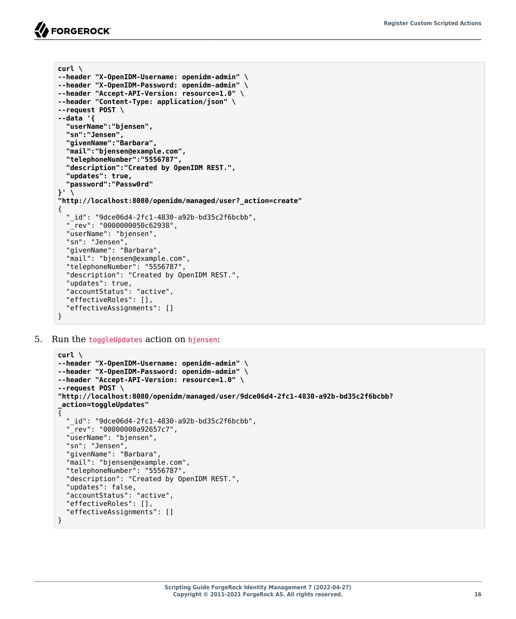```
curl \
--header "X-OpenIDM-Username: openidm-admin" \
--header "X-OpenIDM-Password: openidm-admin" \
--header "Accept-API-Version: resource=1.0" \
--header "Content-Type: application/json" \
--request POST \
--data '{
   "userName":"bjensen",
   "sn":"Jensen",
   "givenName":"Barbara",
   "mail":"bjensen@example.com",
   "telephoneNumber":"5556787",
   "description":"Created by OpenIDM REST.",
   "updates": true,
   "password":"Passw0rd"
}' \
"http://localhost:8080/openidm/managed/user?_action=create"
{
   "_id": "9dce06d4-2fc1-4830-a92b-bd35c2f6bcbb",
   "_rev": "0000000050c62938",
   "userName": "bjensen",
   "sn": "Jensen",
   "givenName": "Barbara",
   "mail": "bjensen@example.com",
   "telephoneNumber": "5556787",
   "description": "Created by OpenIDM REST.",
   "updates": true,
   "accountStatus": "active",
   "effectiveRoles": [],
   "effectiveAssignments": []
}
```
5. Run the toggleUpdates action on bjensen:

```
curl \
--header "X-OpenIDM-Username: openidm-admin" \
--header "X-OpenIDM-Password: openidm-admin" \
--header "Accept-API-Version: resource=1.0" \
--request POST \
"http://localhost:8080/openidm/managed/user/9dce06d4-2fc1-4830-a92b-bd35c2f6bcbb?
_action=toggleUpdates"
{
   "_id": "9dce06d4-2fc1-4830-a92b-bd35c2f6bcbb",
    "_rev": "00000000a92657c7",
   "userName": "bjensen",
   "sn": "Jensen",
   "givenName": "Barbara",
   "mail": "bjensen@example.com",
   "telephoneNumber": "5556787",
   "description": "Created by OpenIDM REST.",
   "updates": false,
   "accountStatus": "active",
   "effectiveRoles": [],
   "effectiveAssignments": []
}
```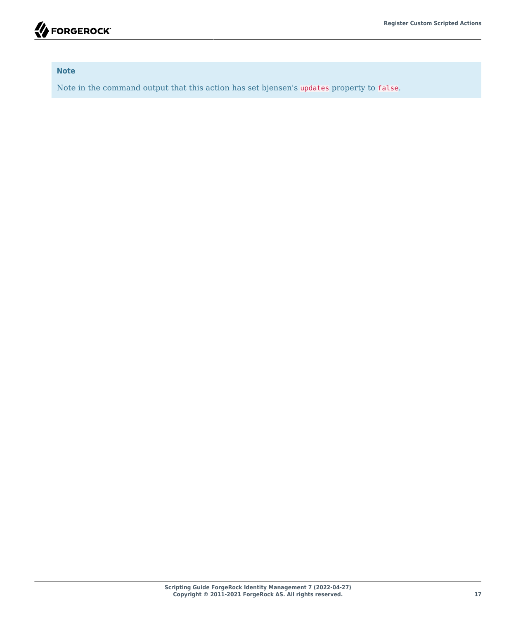

#### **Note**

Note in the command output that this action has set bjensen's updates property to false.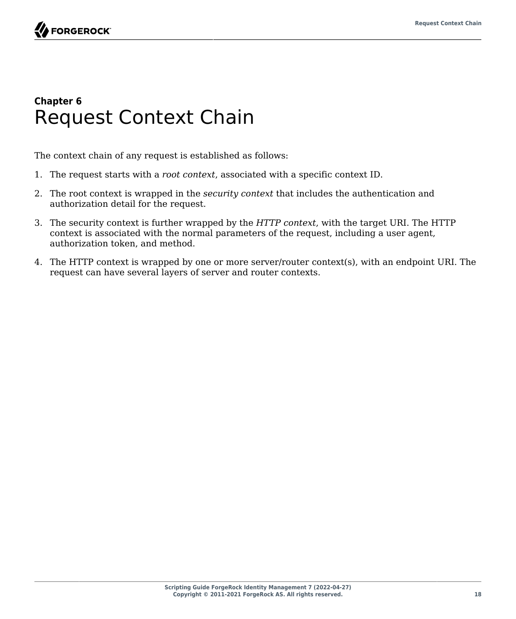# <span id="page-22-0"></span>**Chapter 6** Request Context Chain

The context chain of any request is established as follows:

- 1. The request starts with a *root context*, associated with a specific context ID.
- 2. The root context is wrapped in the *security context* that includes the authentication and authorization detail for the request.
- 3. The security context is further wrapped by the *HTTP context*, with the target URI. The HTTP context is associated with the normal parameters of the request, including a user agent, authorization token, and method.
- 4. The HTTP context is wrapped by one or more server/router context(s), with an endpoint URI. The request can have several layers of server and router contexts.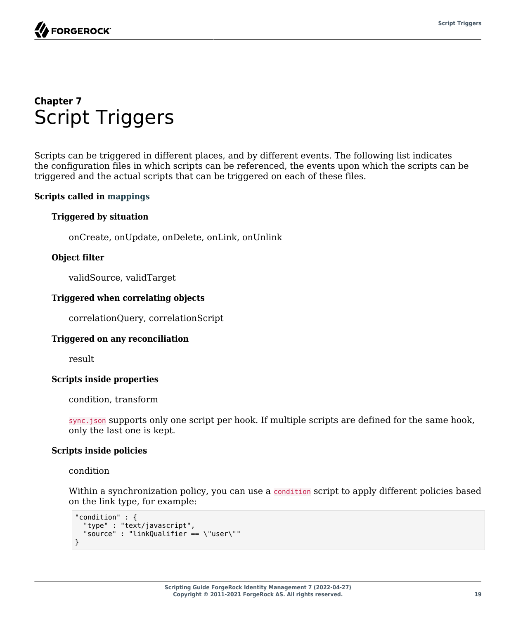# <span id="page-23-0"></span>**Chapter 7** Script Triggers

Scripts can be triggered in different places, and by different events. The following list indicates the configuration files in which scripts can be referenced, the events upon which the scripts can be triggered and the actual scripts that can be triggered on each of these files.

### **Scripts called in mappings**

### **Triggered by situation**

onCreate, onUpdate, onDelete, onLink, onUnlink

#### **Object filter**

validSource, validTarget

#### **Triggered when correlating objects**

correlationQuery, correlationScript

#### **Triggered on any reconciliation**

result

#### **Scripts inside properties**

condition, transform

sync.json supports only one script per hook. If multiple scripts are defined for the same hook, only the last one is kept.

#### **Scripts inside policies**

#### condition

Within a synchronization policy, you can use a condition script to apply different policies based on the link type, for example:

```
"condition" : {
   "type" : "text/javascript",
   "source" : "linkQualifier == \"user\""
}
```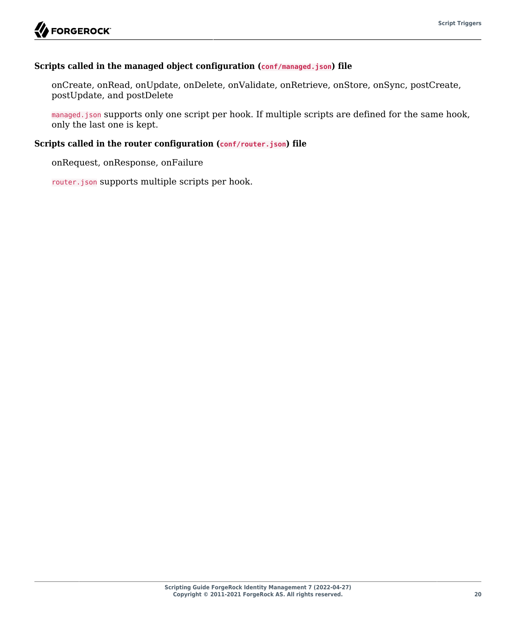#### **Scripts called in the managed object configuration (conf/managed.json) file**

onCreate, onRead, onUpdate, onDelete, onValidate, onRetrieve, onStore, onSync, postCreate, postUpdate, and postDelete

managed.json supports only one script per hook. If multiple scripts are defined for the same hook, only the last one is kept.

#### **Scripts called in the router configuration (conf/router.json) file**

onRequest, onResponse, onFailure

router.json supports multiple scripts per hook.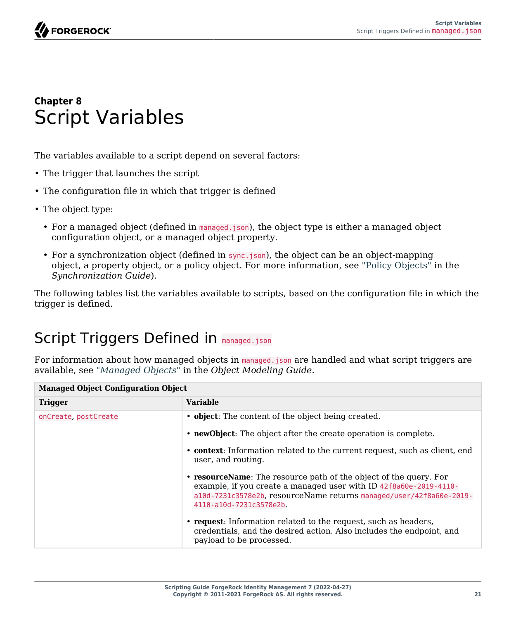

# <span id="page-25-0"></span>**Chapter 8** Script Variables

The variables available to a script depend on several factors:

- The trigger that launches the script
- The configuration file in which that trigger is defined
- The object type:
	- For a managed object (defined in managed.json), the object type is either a managed object configuration object, or a managed object property.
	- For a synchronization object (defined in sync.json), the object can be an object-mapping object, a property object, or a policy object. For more information, see "Policy Objects" in the *Synchronization Guide*).

<span id="page-25-1"></span>The following tables list the variables available to scripts, based on the configuration file in which the trigger is defined.

# Script Triggers Defined in managed.json

For information about how managed objects in managed.json are handled and what script triggers are available, see "*Managed Objects*" in the *Object Modeling Guide*.

| <b>Managed Object Configuration Object</b> |                                                                                                                                                                                                                                          |
|--------------------------------------------|------------------------------------------------------------------------------------------------------------------------------------------------------------------------------------------------------------------------------------------|
| <b>Trigger</b>                             | <b>Variable</b>                                                                                                                                                                                                                          |
| onCreate, postCreate                       | • object: The content of the object being created.                                                                                                                                                                                       |
|                                            | • newObject: The object after the create operation is complete.                                                                                                                                                                          |
|                                            | • context: Information related to the current request, such as client, end<br>user, and routing.                                                                                                                                         |
|                                            | • resourceName: The resource path of the object of the query. For<br>example, if you create a managed user with ID 42f8a60e-2019-4110-<br>a10d-7231c3578e2b, resourceName returns managed/user/42f8a60e-2019-<br>4110-a10d-7231c3578e2b. |
|                                            | • request: Information related to the request, such as headers,<br>credentials, and the desired action. Also includes the endpoint, and<br>payload to be processed.                                                                      |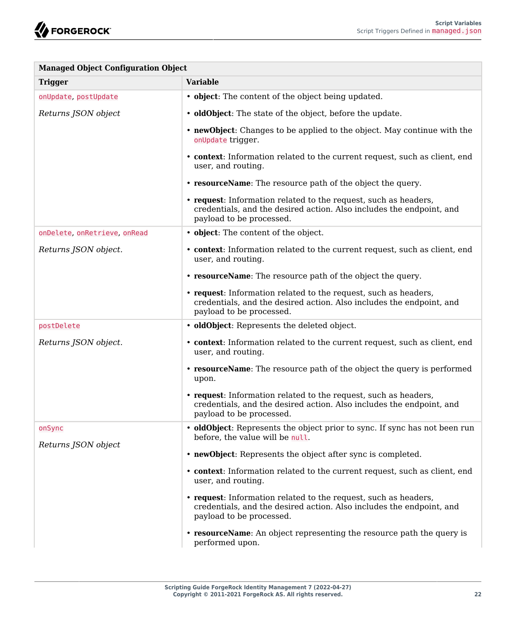| <b>Managed Object Configuration Object</b> |                                                                                                                                                                     |
|--------------------------------------------|---------------------------------------------------------------------------------------------------------------------------------------------------------------------|
| <b>Trigger</b>                             | <b>Variable</b>                                                                                                                                                     |
| onUpdate, postUpdate                       | • object: The content of the object being updated.                                                                                                                  |
| Returns JSON object                        | • <b>oldObject</b> : The state of the object, before the update.                                                                                                    |
|                                            | • newObject: Changes to be applied to the object. May continue with the<br>onUpdate trigger.                                                                        |
|                                            | • context: Information related to the current request, such as client, end<br>user, and routing.                                                                    |
|                                            | • resourceName: The resource path of the object the query.                                                                                                          |
|                                            | • request: Information related to the request, such as headers,<br>credentials, and the desired action. Also includes the endpoint, and<br>payload to be processed. |
| onDelete, onRetrieve, onRead               | • object: The content of the object.                                                                                                                                |
| Returns JSON object.                       | • context: Information related to the current request, such as client, end<br>user, and routing.                                                                    |
|                                            | • resource Name: The resource path of the object the query.                                                                                                         |
|                                            | • request: Information related to the request, such as headers,<br>credentials, and the desired action. Also includes the endpoint, and<br>payload to be processed. |
| postDelete                                 | · oldObject: Represents the deleted object.                                                                                                                         |
| Returns JSON object.                       | • context: Information related to the current request, such as client, end<br>user, and routing.                                                                    |
|                                            | • resourceName: The resource path of the object the query is performed<br>upon.                                                                                     |
|                                            | • request: Information related to the request, such as headers,<br>credentials, and the desired action. Also includes the endpoint, and<br>payload to be processed. |
| onSync                                     | • oldObject: Represents the object prior to sync. If sync has not been run<br>before, the value will be null.                                                       |
| Returns JSON object                        | • newObject: Represents the object after sync is completed.                                                                                                         |
|                                            | • context: Information related to the current request, such as client, end<br>user, and routing.                                                                    |
|                                            | • request: Information related to the request, such as headers,<br>credentials, and the desired action. Also includes the endpoint, and<br>payload to be processed. |
|                                            | • resource Name: An object representing the resource path the query is<br>performed upon.                                                                           |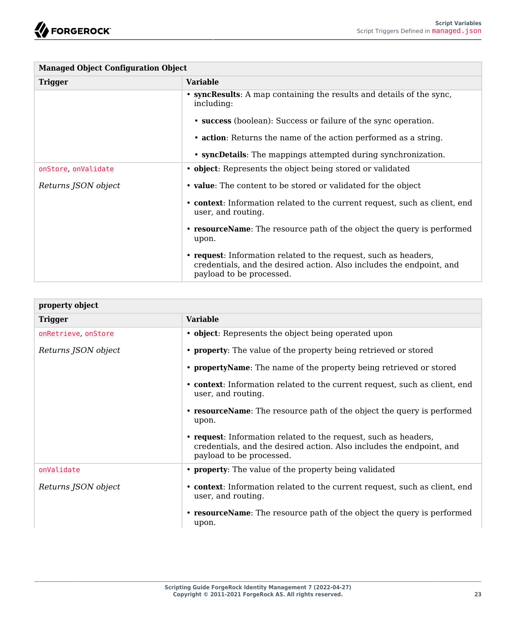| <b>Managed Object Configuration Object</b> |                                                                                                                                                                     |
|--------------------------------------------|---------------------------------------------------------------------------------------------------------------------------------------------------------------------|
| <b>Trigger</b>                             | <b>Variable</b>                                                                                                                                                     |
|                                            | • syncResults: A map containing the results and details of the sync.<br>including:                                                                                  |
|                                            | • success (boolean): Success or failure of the sync operation.                                                                                                      |
|                                            | • action: Returns the name of the action performed as a string.                                                                                                     |
|                                            | • syncDetails: The mappings attempted during synchronization.                                                                                                       |
| onStore onValidate                         | • object: Represents the object being stored or validated                                                                                                           |
| Returns JSON object                        | • value: The content to be stored or validated for the object                                                                                                       |
|                                            | • context: Information related to the current request, such as client, end<br>user, and routing.                                                                    |
|                                            | • resource Name: The resource path of the object the query is performed<br>upon.                                                                                    |
|                                            | • request: Information related to the request, such as headers,<br>credentials, and the desired action. Also includes the endpoint, and<br>payload to be processed. |

| property object     |                                                                                                                                                                     |
|---------------------|---------------------------------------------------------------------------------------------------------------------------------------------------------------------|
| <b>Trigger</b>      | <b>Variable</b>                                                                                                                                                     |
| onRetrieve, onStore | • <b>object</b> : Represents the object being operated upon                                                                                                         |
| Returns JSON object | • <b>property</b> : The value of the property being retrieved or stored                                                                                             |
|                     | • <b>propertyName</b> : The name of the property being retrieved or stored                                                                                          |
|                     | • context: Information related to the current request, such as client, end<br>user, and routing.                                                                    |
|                     | • resource Name: The resource path of the object the query is performed<br>upon.                                                                                    |
|                     | • request: Information related to the request, such as headers,<br>credentials, and the desired action. Also includes the endpoint, and<br>payload to be processed. |
| onValidate          | • <b>property</b> : The value of the property being validated                                                                                                       |
| Returns JSON object | • context: Information related to the current request, such as client, end<br>user, and routing.                                                                    |
|                     | • resource Name: The resource path of the object the query is performed<br>upon.                                                                                    |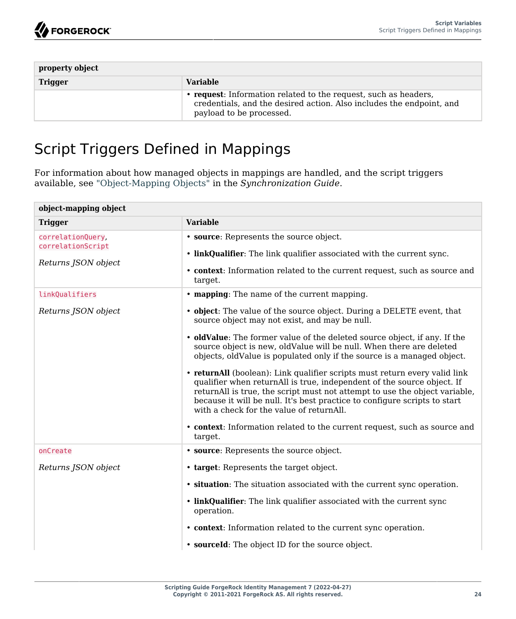| property object |                                                                                                                                                                     |
|-----------------|---------------------------------------------------------------------------------------------------------------------------------------------------------------------|
| <b>Trigger</b>  | <b>Variable</b>                                                                                                                                                     |
|                 | • request: Information related to the request, such as headers,<br>credentials, and the desired action. Also includes the endpoint, and<br>payload to be processed. |

# <span id="page-28-0"></span>Script Triggers Defined in Mappings

For information about how managed objects in mappings are handled, and the script triggers available, see "Object-Mapping Objects" in the *Synchronization Guide*.

| <b>Variable</b>                                                                                                                                                                                                                                                                                                                                                                                                                                                                                                                                                                                                                                                                                                                                                                                             |
|-------------------------------------------------------------------------------------------------------------------------------------------------------------------------------------------------------------------------------------------------------------------------------------------------------------------------------------------------------------------------------------------------------------------------------------------------------------------------------------------------------------------------------------------------------------------------------------------------------------------------------------------------------------------------------------------------------------------------------------------------------------------------------------------------------------|
| • source: Represents the source object.<br>• linkOualifier: The link qualifier associated with the current sync.<br>• context: Information related to the current request, such as source and<br>target.                                                                                                                                                                                                                                                                                                                                                                                                                                                                                                                                                                                                    |
| • mapping: The name of the current mapping.                                                                                                                                                                                                                                                                                                                                                                                                                                                                                                                                                                                                                                                                                                                                                                 |
| • object: The value of the source object. During a DELETE event, that<br>source object may not exist, and may be null.<br>• oldValue: The former value of the deleted source object, if any. If the<br>source object is new, oldValue will be null. When there are deleted<br>objects, oldValue is populated only if the source is a managed object.<br>• returnall (boolean): Link qualifier scripts must return every valid link<br>qualifier when returnall is true, independent of the source object. If<br>returnAll is true, the script must not attempt to use the object variable,<br>because it will be null. It's best practice to configure scripts to start<br>with a check for the value of returnAll.<br>• context: Information related to the current request, such as source and<br>target. |
| • source: Represents the source object.                                                                                                                                                                                                                                                                                                                                                                                                                                                                                                                                                                                                                                                                                                                                                                     |
| • target: Represents the target object.<br>• situation: The situation associated with the current sync operation.<br>• linkQualifier: The link qualifier associated with the current sync<br>operation.<br>• context: Information related to the current sync operation.<br>• sourceId: The object ID for the source object.                                                                                                                                                                                                                                                                                                                                                                                                                                                                                |
|                                                                                                                                                                                                                                                                                                                                                                                                                                                                                                                                                                                                                                                                                                                                                                                                             |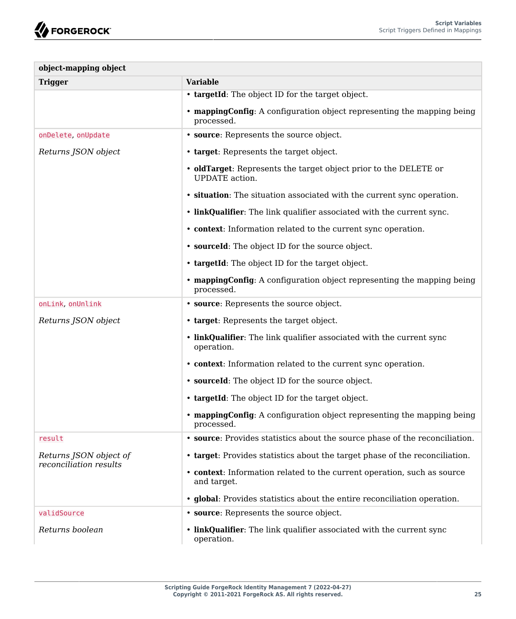| object-mapping object                            |                                                                                           |
|--------------------------------------------------|-------------------------------------------------------------------------------------------|
| <b>Trigger</b>                                   | <b>Variable</b>                                                                           |
|                                                  | • targetId: The object ID for the target object.                                          |
|                                                  | • mapping Config: A configuration object representing the mapping being<br>processed.     |
| onDelete, onUpdate                               | • source: Represents the source object.                                                   |
| Returns JSON object                              | • target: Represents the target object.                                                   |
|                                                  | • oldTarget: Represents the target object prior to the DELETE or<br><b>UPDATE</b> action. |
|                                                  | • situation: The situation associated with the current sync operation.                    |
|                                                  | • linkQualifier: The link qualifier associated with the current sync.                     |
|                                                  | • context: Information related to the current sync operation.                             |
|                                                  | • sourceId: The object ID for the source object.                                          |
|                                                  | • targetId: The object ID for the target object.                                          |
|                                                  | • mapping Config: A configuration object representing the mapping being<br>processed.     |
| onLink, onUnlink                                 | • source: Represents the source object.                                                   |
| Returns JSON object                              | • target: Represents the target object.                                                   |
|                                                  | • linkQualifier: The link qualifier associated with the current sync<br>operation.        |
|                                                  | • context: Information related to the current sync operation.                             |
|                                                  | • sourceId: The object ID for the source object.                                          |
|                                                  | • targetId: The object ID for the target object.                                          |
|                                                  | • mappingConfig: A configuration object representing the mapping being<br>processed.      |
| result                                           | • source: Provides statistics about the source phase of the reconciliation.               |
| Returns JSON object of<br>reconciliation results | • target: Provides statistics about the target phase of the reconciliation.               |
|                                                  | • context: Information related to the current operation, such as source<br>and target.    |
|                                                  | • global: Provides statistics about the entire reconciliation operation.                  |
| validSource                                      | • source: Represents the source object.                                                   |
| Returns boolean                                  | • linkQualifier: The link qualifier associated with the current sync<br>operation.        |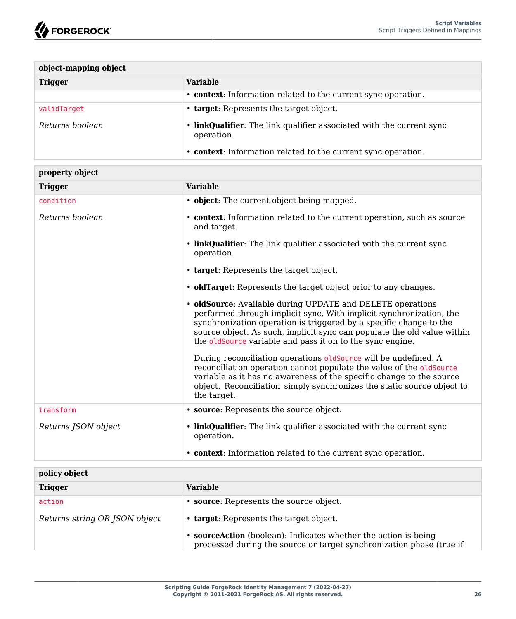| object-mapping object |                                                                                    |
|-----------------------|------------------------------------------------------------------------------------|
| <b>Trigger</b>        | <b>Variable</b>                                                                    |
|                       | • context: Information related to the current sync operation.                      |
| validTarget           | • target: Represents the target object.                                            |
| Returns boolean       | • linkQualifier: The link qualifier associated with the current sync<br>operation. |
|                       | • context: Information related to the current sync operation.                      |

| property object     |                                                                                                                                                                                                                                                                                                                                                                                                                                                                                                                                                                   |
|---------------------|-------------------------------------------------------------------------------------------------------------------------------------------------------------------------------------------------------------------------------------------------------------------------------------------------------------------------------------------------------------------------------------------------------------------------------------------------------------------------------------------------------------------------------------------------------------------|
| <b>Trigger</b>      | <b>Variable</b>                                                                                                                                                                                                                                                                                                                                                                                                                                                                                                                                                   |
| condition           | • object: The current object being mapped.                                                                                                                                                                                                                                                                                                                                                                                                                                                                                                                        |
| Returns boolean     | • context: Information related to the current operation, such as source<br>and target.                                                                                                                                                                                                                                                                                                                                                                                                                                                                            |
|                     | • linkQualifier: The link qualifier associated with the current sync<br>operation.                                                                                                                                                                                                                                                                                                                                                                                                                                                                                |
|                     | • target: Represents the target object.                                                                                                                                                                                                                                                                                                                                                                                                                                                                                                                           |
|                     | • <b>oldTarget</b> : Represents the target object prior to any changes.                                                                                                                                                                                                                                                                                                                                                                                                                                                                                           |
|                     | • oldSource: Available during UPDATE and DELETE operations<br>performed through implicit sync. With implicit synchronization, the<br>synchronization operation is triggered by a specific change to the<br>source object. As such, implicit sync can populate the old value within<br>the oldSource variable and pass it on to the sync engine.<br>During reconciliation operations oldSource will be undefined. A<br>reconciliation operation cannot populate the value of the oldSource<br>variable as it has no awareness of the specific change to the source |
|                     | object. Reconciliation simply synchronizes the static source object to<br>the target.                                                                                                                                                                                                                                                                                                                                                                                                                                                                             |
| transform           | • source: Represents the source object.                                                                                                                                                                                                                                                                                                                                                                                                                                                                                                                           |
| Returns ISON object | • linkQualifier: The link qualifier associated with the current sync<br>operation.                                                                                                                                                                                                                                                                                                                                                                                                                                                                                |
|                     | • context: Information related to the current sync operation.                                                                                                                                                                                                                                                                                                                                                                                                                                                                                                     |
| policy object       |                                                                                                                                                                                                                                                                                                                                                                                                                                                                                                                                                                   |
| Triaaer             | <b>Variable</b>                                                                                                                                                                                                                                                                                                                                                                                                                                                                                                                                                   |

| <b>Trigger</b>                | Variable                                                                                                                              |
|-------------------------------|---------------------------------------------------------------------------------------------------------------------------------------|
| action                        | <b>source:</b> Represents the source object.                                                                                          |
| Returns string OR JSON object | • target: Represents the target object.                                                                                               |
|                               | sourceAction (boolean): Indicates whether the action is being<br>processed during the source or target synchronization phase (true if |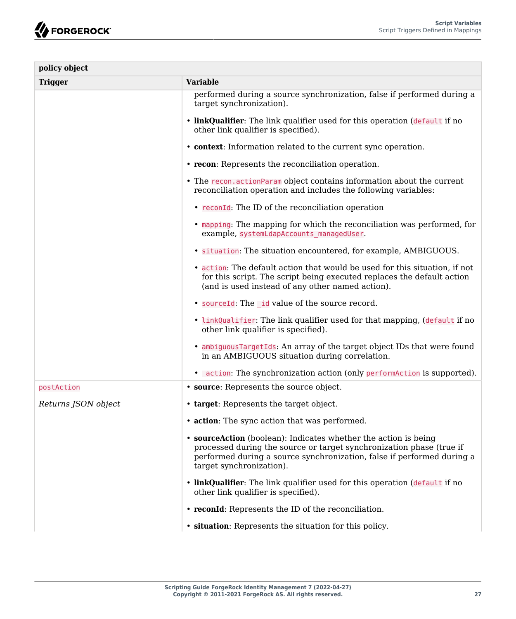| policy object       |                                                                                                                                                                                                                                                |
|---------------------|------------------------------------------------------------------------------------------------------------------------------------------------------------------------------------------------------------------------------------------------|
| <b>Trigger</b>      | <b>Variable</b>                                                                                                                                                                                                                                |
|                     | performed during a source synchronization, false if performed during a<br>target synchronization).                                                                                                                                             |
|                     | • linkQualifier: The link qualifier used for this operation (default if no<br>other link qualifier is specified).                                                                                                                              |
|                     | • context: Information related to the current sync operation.                                                                                                                                                                                  |
|                     | • recon: Represents the reconciliation operation.                                                                                                                                                                                              |
|                     | • The recon action Param object contains information about the current<br>reconciliation operation and includes the following variables:                                                                                                       |
|                     | • reconId: The ID of the reconciliation operation                                                                                                                                                                                              |
|                     | • mapping: The mapping for which the reconciliation was performed, for<br>example, systemLdapAccounts managedUser.                                                                                                                             |
|                     | · situation: The situation encountered, for example, AMBIGUOUS.                                                                                                                                                                                |
|                     | • action: The default action that would be used for this situation, if not<br>for this script. The script being executed replaces the default action<br>(and is used instead of any other named action).                                       |
|                     | • sourceId: The id value of the source record.                                                                                                                                                                                                 |
|                     | . linkQualifier: The link qualifier used for that mapping, (default if no<br>other link qualifier is specified).                                                                                                                               |
|                     | • ambiguous Target Ids: An array of the target object IDs that were found<br>in an AMBIGUOUS situation during correlation.                                                                                                                     |
|                     | • action: The synchronization action (only performaction is supported).                                                                                                                                                                        |
| postAction          | • source: Represents the source object.                                                                                                                                                                                                        |
| Returns JSON object | • target: Represents the target object.                                                                                                                                                                                                        |
|                     | • action: The sync action that was performed.                                                                                                                                                                                                  |
|                     | • source Action (boolean): Indicates whether the action is being<br>processed during the source or target synchronization phase (true if<br>performed during a source synchronization, false if performed during a<br>target synchronization). |
|                     | . linkQualifier: The link qualifier used for this operation (default if no<br>other link qualifier is specified).                                                                                                                              |
|                     | • reconid: Represents the ID of the reconciliation.                                                                                                                                                                                            |
|                     | • situation: Represents the situation for this policy.                                                                                                                                                                                         |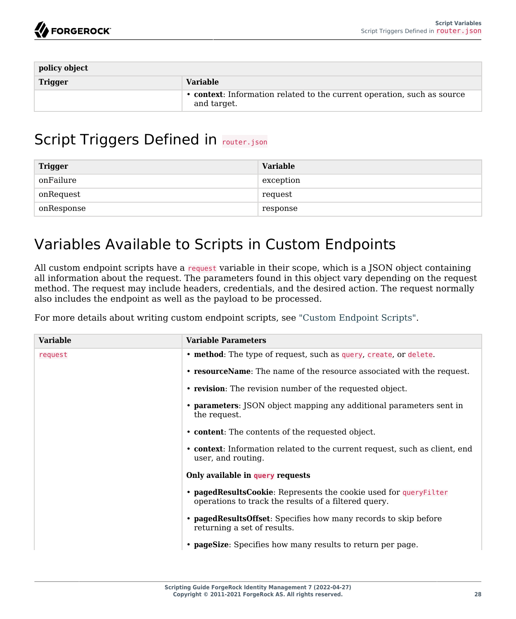| policy object  |                                                                                        |
|----------------|----------------------------------------------------------------------------------------|
| <b>Trigger</b> | <b>Variable</b>                                                                        |
|                | • context: Information related to the current operation, such as source<br>and target. |

# <span id="page-32-0"></span>Script Triggers Defined in router.json

| <b>Trigger</b> | <b>Variable</b> |
|----------------|-----------------|
| onFailure      | exception       |
| onRequest      | request         |
| onResponse     | response        |

# <span id="page-32-1"></span>Variables Available to Scripts in Custom Endpoints

All custom endpoint scripts have a request variable in their scope, which is a JSON object containing all information about the request. The parameters found in this object vary depending on the request method. The request may include headers, credentials, and the desired action. The request normally also includes the endpoint as well as the payload to be processed.

For more details about writing custom endpoint scripts, see ["Custom Endpoint Scripts"](#page-14-0).

| <b>Variable</b> | <b>Variable Parameters</b>                                                                                               |
|-----------------|--------------------------------------------------------------------------------------------------------------------------|
| request         | • method: The type of request, such as query, create, or delete.                                                         |
|                 | • resourceName: The name of the resource associated with the request.                                                    |
|                 | • revision: The revision number of the requested object.                                                                 |
|                 | • parameters: JSON object mapping any additional parameters sent in<br>the request.                                      |
|                 | • content: The contents of the requested object.                                                                         |
|                 | • context: Information related to the current request, such as client, end<br>user, and routing.                         |
|                 | Only available in query requests                                                                                         |
|                 | • pagedResultsCookie: Represents the cookie used for queryFilter<br>operations to track the results of a filtered query. |
|                 | • pagedResultsOffset: Specifies how many records to skip before<br>returning a set of results.                           |
|                 | • <b>pageSize</b> : Specifies how many results to return per page.                                                       |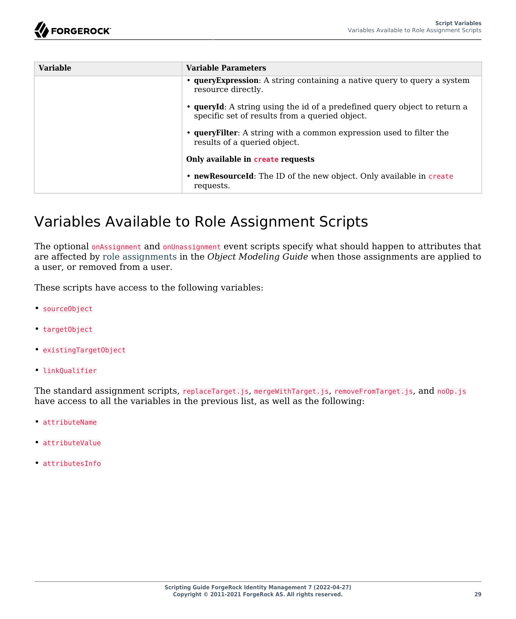| <b>Variable</b> | <b>Variable Parameters</b>                                                                                                  |
|-----------------|-----------------------------------------------------------------------------------------------------------------------------|
|                 | • query Expression: A string containing a native query to query a system<br>resource directly.                              |
|                 | • queryId: A string using the id of a predefined query object to return a<br>specific set of results from a queried object. |
|                 | • query Filter: A string with a common expression used to filter the<br>results of a queried object.                        |
|                 | Only available in create requests                                                                                           |
|                 | • newResourceId: The ID of the new object. Only available in create<br>requests.                                            |

# <span id="page-33-0"></span>Variables Available to Role Assignment Scripts

The optional onAssignment and onUnassignment event scripts specify what should happen to attributes that are affected by role assignments in the *Object Modeling Guide* when those assignments are applied to a user, or removed from a user.

These scripts have access to the following variables:

- sourceObject
- targetObject
- existingTargetObject
- linkQualifier

The standard assignment scripts, replaceTarget.js, mergeWithTarget.js, removeFromTarget.js, and noOp.js have access to all the variables in the previous list, as well as the following:

- attributeName
- attributeValue
- attributesInfo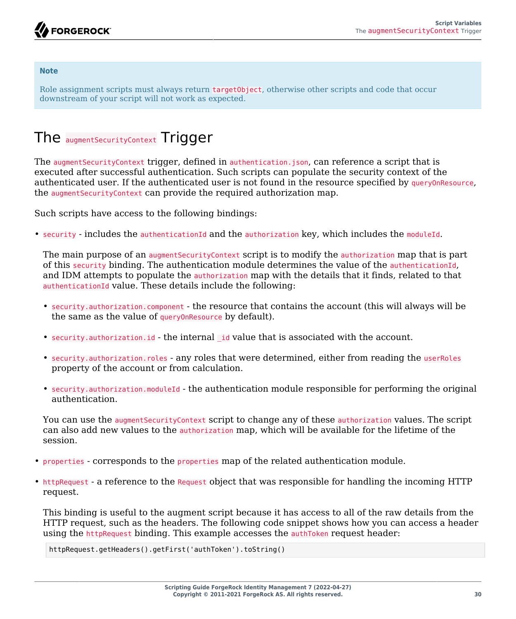#### **Note**

Role assignment scripts must always return targetObject, otherwise other scripts and code that occur downstream of your script will not work as expected.

# <span id="page-34-0"></span>The augmentSecurityContext Trigger

The augment Security Context trigger, defined in authentication.json, can reference a script that is executed after successful authentication. Such scripts can populate the security context of the authenticated user. If the authenticated user is not found in the resource specified by queryOnResource, the augment Security Context can provide the required authorization map.

Such scripts have access to the following bindings:

• security - includes the authenticationId and the authorization key, which includes the moduleId.

The main purpose of an augmentSecurityContext script is to modify the authorization map that is part of this security binding. The authentication module determines the value of the authenticationId, and IDM attempts to populate the authorization map with the details that it finds, related to that authenticationId value. These details include the following:

- security.authorization.component the resource that contains the account (this will always will be the same as the value of queryOnResource by default).
- security.authorization.id the internal id value that is associated with the account.
- security.authorization.roles any roles that were determined, either from reading the userRoles property of the account or from calculation.
- security.authorization.moduleId the authentication module responsible for performing the original authentication.

You can use the augment Security Context script to change any of these authorization values. The script can also add new values to the authorization map, which will be available for the lifetime of the session.

- properties corresponds to the properties map of the related authentication module.
- httpRequest a reference to the Request object that was responsible for handling the incoming HTTP request.

This binding is useful to the augment script because it has access to all of the raw details from the HTTP request, such as the headers. The following code snippet shows how you can access a header using the httpRequest binding. This example accesses the authToken request header:

httpRequest.getHeaders().getFirst('authToken').toString()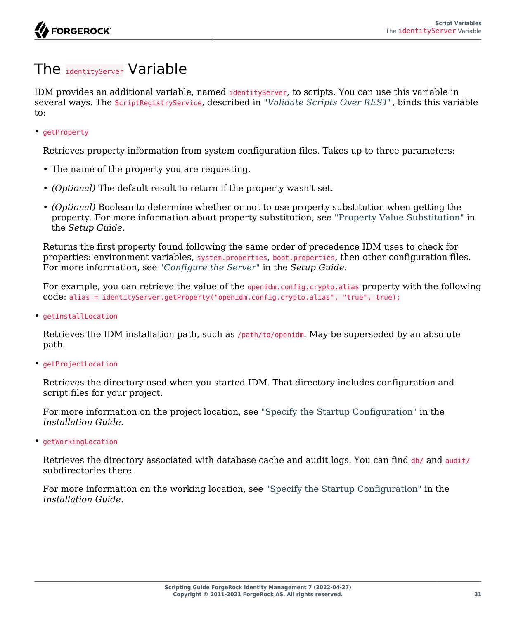# <span id="page-35-0"></span>The identityServer Variable

IDM provides an additional variable, named identityServer, to scripts. You can use this variable in several ways. The ScriptRegistryService, described in "*[Validate Scripts Over REST](#page-11-0)*", binds this variable to:

• getProperty

Retrieves property information from system configuration files. Takes up to three parameters:

- The name of the property you are requesting.
- *(Optional)* The default result to return if the property wasn't set.
- *(Optional)* Boolean to determine whether or not to use property substitution when getting the property. For more information about property substitution, see "Property Value Substitution" in the *Setup Guide*.

Returns the first property found following the same order of precedence IDM uses to check for properties: environment variables, system.properties, boot.properties, then other configuration files. For more information, see "*Configure the Server*" in the *Setup Guide*.

For example, you can retrieve the value of the openidm.config.crypto.alias property with the following code: alias = identityServer.getProperty("openidm.config.crypto.alias", "true", true);

• getInstallLocation

Retrieves the IDM installation path, such as /path/to/openidm. May be superseded by an absolute path.

• getProjectLocation

Retrieves the directory used when you started IDM. That directory includes configuration and script files for your project.

For more information on the project location, see "Specify the Startup Configuration" in the *Installation Guide*.

• getWorkingLocation

Retrieves the directory associated with database cache and audit logs. You can find db/ and audit/ subdirectories there.

For more information on the working location, see "Specify the Startup Configuration" in the *Installation Guide*.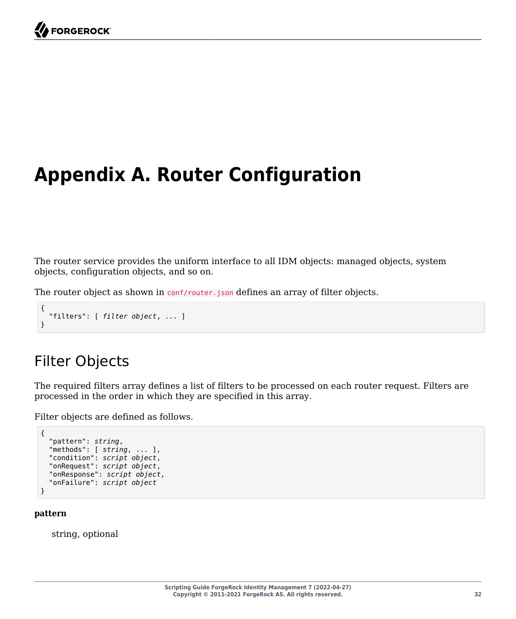# <span id="page-36-0"></span>**Appendix A. Router Configuration**

The router service provides the uniform interface to all IDM objects: managed objects, system objects, configuration objects, and so on.

The router object as shown in conf/router.json defines an array of filter objects.

```
{
   "filters": [ filter object, ... ]
}
```
# <span id="page-36-1"></span>Filter Objects

The required filters array defines a list of filters to be processed on each router request. Filters are processed in the order in which they are specified in this array.

Filter objects are defined as follows.

```
{
   "pattern": string,
   "methods": [ string, ... ],
   "condition": script object,
 "onRequest": script object,
 "onResponse": script object,
   "onFailure": script object
}
```
#### **pattern**

string, optional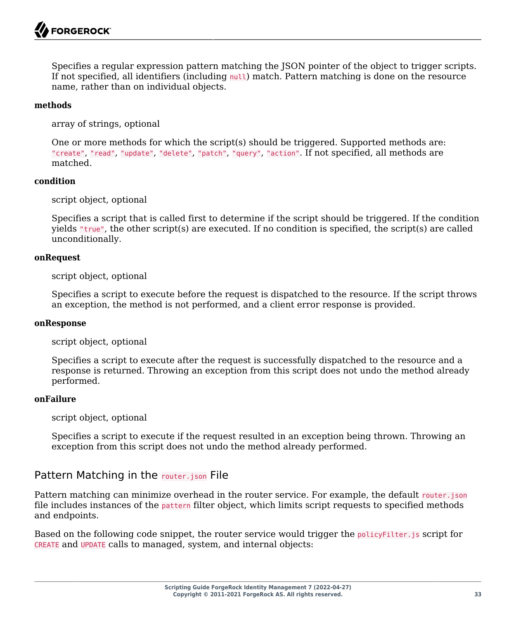Specifies a regular expression pattern matching the JSON pointer of the object to trigger scripts. If not specified, all identifiers (including null) match. Pattern matching is done on the resource name, rather than on individual objects.

#### **methods**

array of strings, optional

One or more methods for which the script(s) should be triggered. Supported methods are: "create", "read", "update", "delete", "patch", "query", "action". If not specified, all methods are matched.

#### **condition**

script object, optional

Specifies a script that is called first to determine if the script should be triggered. If the condition yields "true", the other script(s) are executed. If no condition is specified, the script(s) are called unconditionally.

#### **onRequest**

script object, optional

Specifies a script to execute before the request is dispatched to the resource. If the script throws an exception, the method is not performed, and a client error response is provided.

#### **onResponse**

script object, optional

Specifies a script to execute after the request is successfully dispatched to the resource and a response is returned. Throwing an exception from this script does not undo the method already performed.

#### **onFailure**

script object, optional

Specifies a script to execute if the request resulted in an exception being thrown. Throwing an exception from this script does not undo the method already performed.

# Pattern Matching in the router.json File

Pattern matching can minimize overhead in the router service. For example, the default router, json file includes instances of the pattern filter object, which limits script requests to specified methods and endpoints.

Based on the following code snippet, the router service would trigger the policyFilter.js script for CREATE and UPDATE calls to managed, system, and internal objects: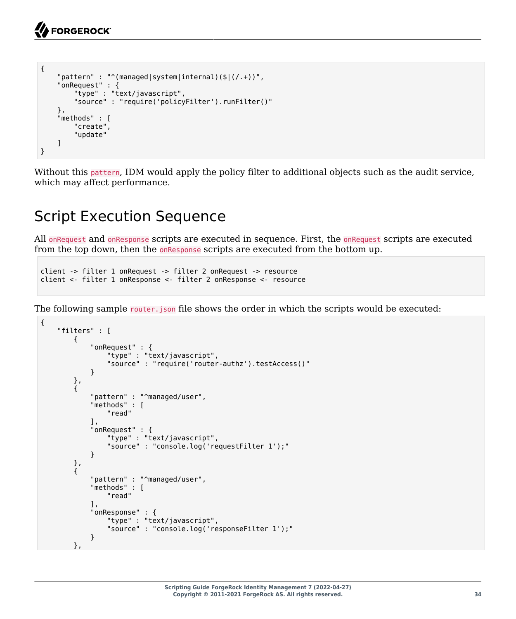```
{
     "pattern" : "^(managed|system|internal)($|(/.+))",
     "onRequest" : {
          "type" : "text/javascript",
          "source" : "require('policyFilter').runFilter()"
     },
     "methods" : [
          "create",
          "update"
    \mathbf{I}}
```
<span id="page-38-0"></span>Without this pattern, IDM would apply the policy filter to additional objects such as the audit service, which may affect performance.

# Script Execution Sequence

All onRequest and onResponse scripts are executed in sequence. First, the onRequest scripts are executed from the top down, then the onResponse scripts are executed from the bottom up.

```
client -> filter 1 onRequest -> filter 2 onRequest -> resource
client <- filter 1 onResponse <- filter 2 onResponse <- resource
```
The following sample router.json file shows the order in which the scripts would be executed:

```
{
     "filters" : [
        {
             "onRequest" : {
                 "type" : "text/javascript",
                 "source" : "require('router-authz').testAccess()"
 }
        },
         {
             "pattern" : "^managed/user",
             "methods" : [
                 "read"
             ],
             "onRequest" : {
                 "type" : "text/javascript",
            "source" : "console.log('requestFilter 1');"
 }
 },
\overline{\mathcal{L}} "pattern" : "^managed/user",
             "methods" : [
                 "read"
             ],
             "onResponse" : {
                 "type" : "text/javascript",
            "source" : "console.log('responseFilter 1');"
 }
 },
```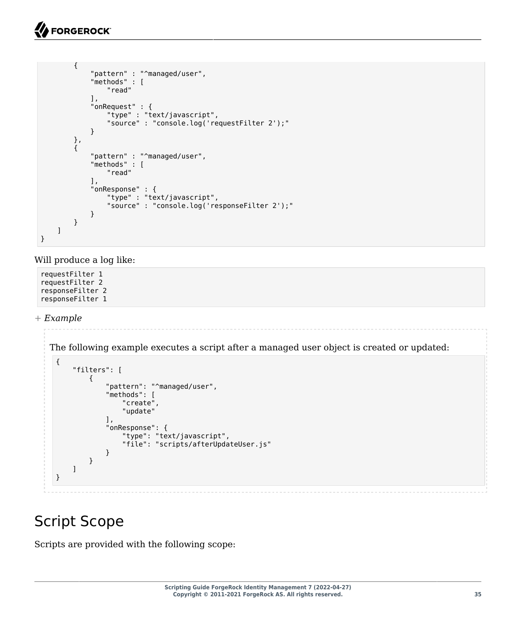```
 {
 "pattern" : "^managed/user",
 "methods" : [
               "read"
            ],
            "onRequest" : {
               "type" : "text/javascript",
               "source" : "console.log('requestFilter 2');"
 }
        },
\overline{\mathcal{L}} "pattern" : "^managed/user",
 "methods" : [
               "read"
            ],
            "onResponse" : {
               "type" : "text/javascript",
           "source" : "console.log('responseFilter 2');"
 }
       }
    ]
}
```
Will produce a log like:

requestFilter 1 requestFilter 2 responseFilter 2 responseFilter 1

*+ Example*

The following example executes a script after a managed user object is created or updated:

```
{
     "filters": [
         {
             "pattern": "^managed/user",
             "methods": [
                 "create",
                 "update"
             ],
             "onResponse": {
                 "type": "text/javascript",
             "file": "scripts/afterUpdateUser.js"
 }
         }
     ]
}
```
# <span id="page-39-0"></span>Script Scope

Scripts are provided with the following scope: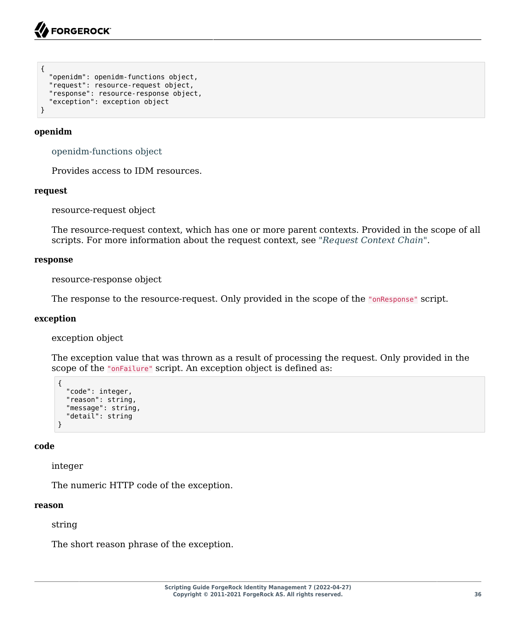```
{
   "openidm": openidm-functions object,
   "request": resource-request object,
   "response": resource-response object,
   "exception": exception object
}
```
#### **openidm**

[openidm-functions object](#page-42-0)

Provides access to IDM resources.

#### **request**

resource-request object

The resource-request context, which has one or more parent contexts. Provided in the scope of all scripts. For more information about the request context, see "*[Request Context Chain](#page-22-0)*".

#### **response**

resource-response object

The response to the resource-request. Only provided in the scope of the "onResponse" script.

#### **exception**

exception object

The exception value that was thrown as a result of processing the request. Only provided in the scope of the "onFailure" script. An exception object is defined as:

```
{
   "code": integer,
   "reason": string,
   "message": string,
   "detail": string
}
```
#### **code**

integer

The numeric HTTP code of the exception.

#### **reason**

string

The short reason phrase of the exception.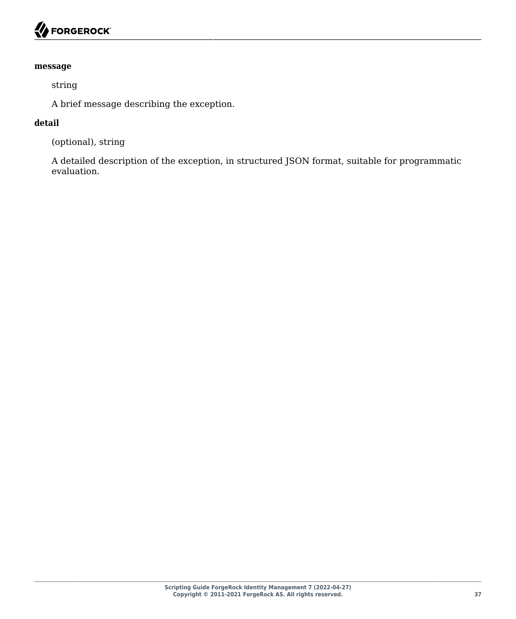#### **message**

string

A brief message describing the exception.

#### **detail**

(optional), string

A detailed description of the exception, in structured JSON format, suitable for programmatic evaluation.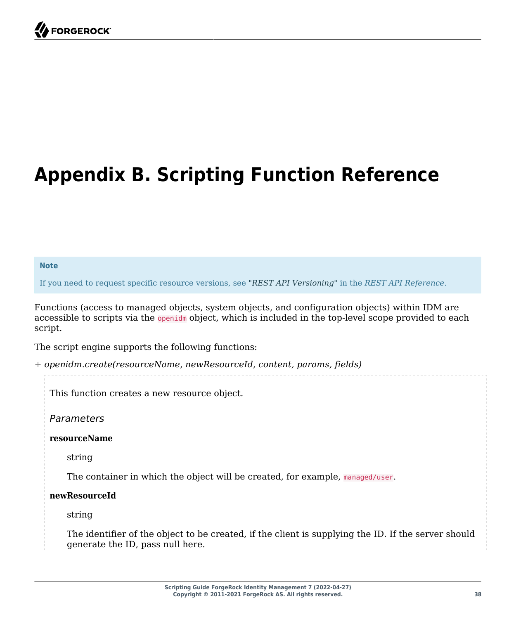# <span id="page-42-0"></span>**Appendix B. Scripting Function Reference**

#### **Note**

If you need to request specific resource versions, see "*REST API Versioning*" in the *REST API Reference*.

Functions (access to managed objects, system objects, and configuration objects) within IDM are accessible to scripts via the openidm object, which is included in the top-level scope provided to each script.

The script engine supports the following functions:

*+ openidm.create(resourceName, newResourceId, content, params, fields)*

This function creates a new resource object.

*Parameters*

**resourceName**

string

The container in which the object will be created, for example, managed/user.

**newResourceId**

string

The identifier of the object to be created, if the client is supplying the ID. If the server should generate the ID, pass null here.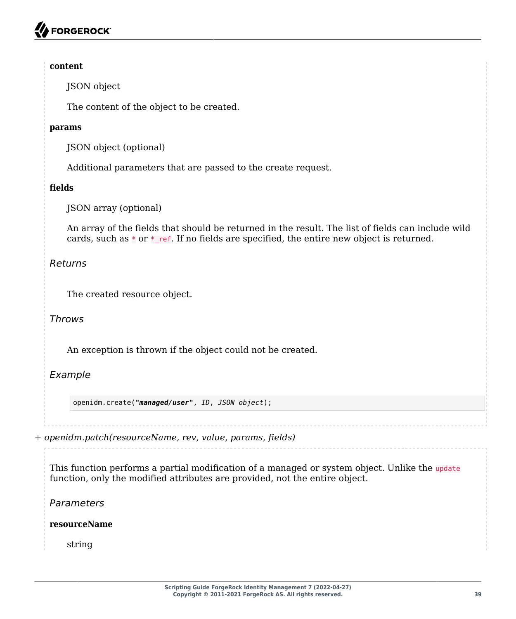#### **content**

JSON object

The content of the object to be created.

#### **params**

JSON object (optional)

Additional parameters that are passed to the create request.

### **fields**

JSON array (optional)

An array of the fields that should be returned in the result. The list of fields can include wild cards, such as  $*$  or  $*$  ref. If no fields are specified, the entire new object is returned.

### *Returns*

The created resource object.

*Throws*

An exception is thrown if the object could not be created.

# *Example*

openidm.create(*"managed/user"*, *ID*, *JSON object*);

*+ openidm.patch(resourceName, rev, value, params, fields)*

This function performs a partial modification of a managed or system object. Unlike the update function, only the modified attributes are provided, not the entire object.

*Parameters*

**resourceName**

string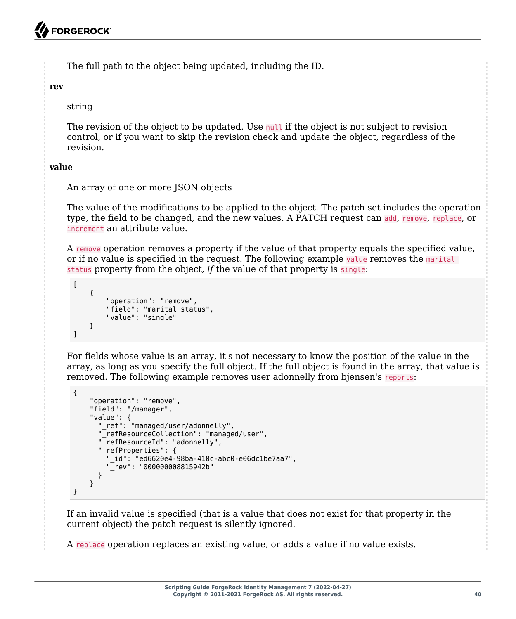The full path to the object being updated, including the ID.

**rev**

string

The revision of the object to be updated. Use null if the object is not subject to revision control, or if you want to skip the revision check and update the object, regardless of the revision.

### **value**

An array of one or more JSON objects

The value of the modifications to be applied to the object. The patch set includes the operation type, the field to be changed, and the new values. A PATCH request can add, remove, replace, or increment an attribute value.

A remove operation removes a property if the value of that property equals the specified value, or if no value is specified in the request. The following example value removes the marital status property from the object, *if* the value of that property is single:

```
[
     {
          "operation": "remove",
          "field": "marital_status",
          "value": "single"
     }
]
```
For fields whose value is an array, it's not necessary to know the position of the value in the array, as long as you specify the full object. If the full object is found in the array, that value is removed. The following example removes user adonnelly from bjensen's reports:

```
{
     "operation": "remove",
     "field": "/manager",
     "value": {
       "_ref": "managed/user/adonnelly",
         "_refResourceCollection": "managed/user",
       "_refResourceId": "adonnelly",
        "_refProperties": {
          "_id": "ed6620e4-98ba-410c-abc0-e06dc1be7aa7",
          "_rev": "000000008815942b"
       }
     }
}
```
If an invalid value is specified (that is a value that does not exist for that property in the current object) the patch request is silently ignored.

A replace operation replaces an existing value, or adds a value if no value exists.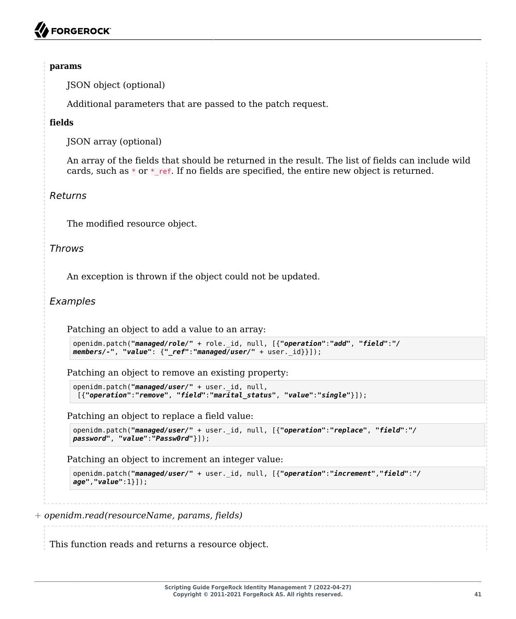#### **params**

JSON object (optional)

Additional parameters that are passed to the patch request.

#### **fields**

JSON array (optional)

An array of the fields that should be returned in the result. The list of fields can include wild cards, such as  $*$  or  $*$  ref. If no fields are specified, the entire new object is returned.

#### *Returns*

The modified resource object.

#### *Throws*

An exception is thrown if the object could not be updated.

### *Examples*

Patching an object to add a value to an array:

```
openidm.patch("managed/role/" + role._id, null, [{"operation":"add", "field":"/
members/-", "value": {"_ref":"managed/user/" + user._id}}]);
```
Patching an object to remove an existing property:

```
openidm.patch("managed/user/" + user._id, null,
 [{"operation":"remove", "field":"marital_status", "value":"single"}]);
```
Patching an object to replace a field value:

```
openidm.patch("managed/user/" + user._id, null, [{"operation":"replace", "field":"/
password", "value":"Passw0rd"}]);
```
Patching an object to increment an integer value:

```
openidm.patch("managed/user/" + user._id, null, [{"operation":"increment","field":"/
age","value":1}]);
```
*+ openidm.read(resourceName, params, fields)*

This function reads and returns a resource object.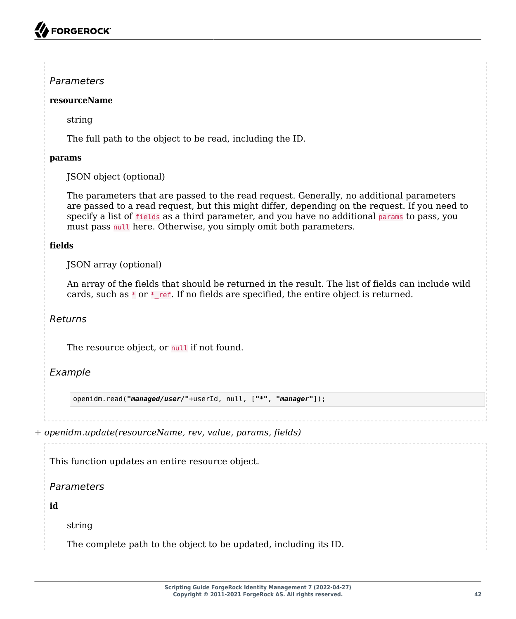# *Parameters*

### **resourceName**

string

The full path to the object to be read, including the ID.

### **params**

JSON object (optional)

The parameters that are passed to the read request. Generally, no additional parameters are passed to a read request, but this might differ, depending on the request. If you need to specify a list of fields as a third parameter, and you have no additional params to pass, you must pass null here. Otherwise, you simply omit both parameters.

### **fields**

JSON array (optional)

An array of the fields that should be returned in the result. The list of fields can include wild cards, such as  $*$  or  $*$  ref. If no fields are specified, the entire object is returned.

# *Returns*

The resource object, or null if not found.

# *Example*

openidm.read(*"managed/user/"*+userId, null, [*"\*"*, *"manager"*]);

*+ openidm.update(resourceName, rev, value, params, fields)*

This function updates an entire resource object.

*Parameters*

**id**

string

The complete path to the object to be updated, including its ID.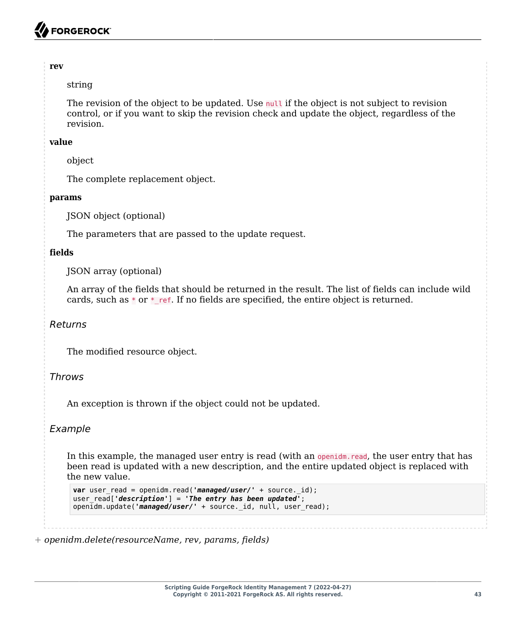#### **rev**

#### string

The revision of the object to be updated. Use null if the object is not subject to revision control, or if you want to skip the revision check and update the object, regardless of the revision.

#### **value**

object

The complete replacement object.

#### **params**

JSON object (optional)

The parameters that are passed to the update request.

#### **fields**

JSON array (optional)

An array of the fields that should be returned in the result. The list of fields can include wild cards, such as  $*$  or  $*$  ref. If no fields are specified, the entire object is returned.

### *Returns*

The modified resource object.

### *Throws*

An exception is thrown if the object could not be updated.

### *Example*

In this example, the managed user entry is read (with an openidm. read, the user entry that has been read is updated with a new description, and the entire updated object is replaced with the new value.

```
var user read = openidm.read('managed/user/' + source. id);
user read<sup>[</sup> 'description'] = 'The entry has been updated<sup>1</sup>;
openidm.update('managed/user/' + source. id, null, user read);
```
*+ openidm.delete(resourceName, rev, params, fields)*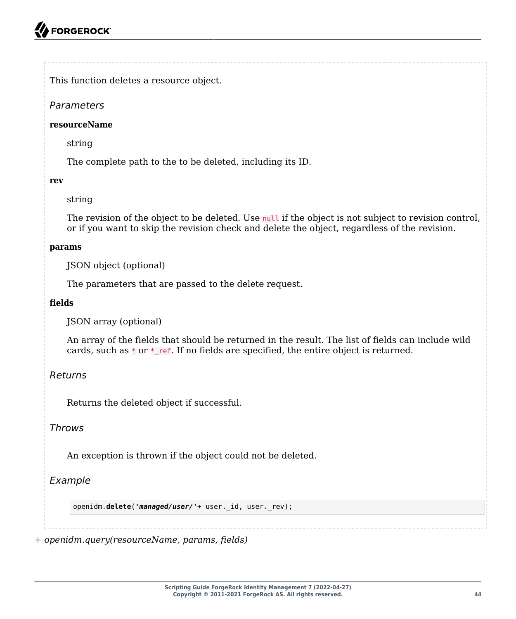This function deletes a resource object.

# *Parameters*

#### **resourceName**

string

The complete path to the to be deleted, including its ID.

#### **rev**

### string

The revision of the object to be deleted. Use null if the object is not subject to revision control, or if you want to skip the revision check and delete the object, regardless of the revision.

#### **params**

JSON object (optional)

The parameters that are passed to the delete request.

### **fields**

JSON array (optional)

An array of the fields that should be returned in the result. The list of fields can include wild cards, such as  $*$  or  $*$  ref. If no fields are specified, the entire object is returned.

# *Returns*

Returns the deleted object if successful.

# *Throws*

An exception is thrown if the object could not be deleted.

# *Example*

openidm.**delete**(*'managed/user/'*+ user.\_id, user.\_rev);

*+ openidm.query(resourceName, params, fields)*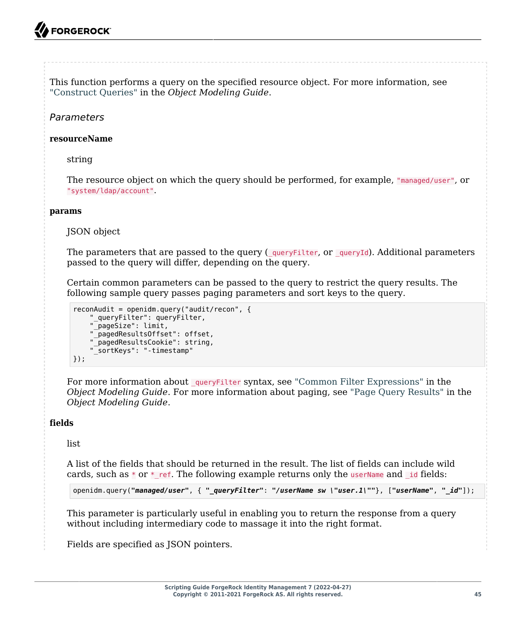This function performs a query on the specified resource object. For more information, see "Construct Queries" in the *Object Modeling Guide*.

# *Parameters*

#### **resourceName**

string

The resource object on which the query should be performed, for example, "managed/user", or "system/ldap/account".

#### **params**

JSON object

The parameters that are passed to the query ( $_q$ ueryFilter, or  $_q$ ueryId). Additional parameters passed to the query will differ, depending on the query.

Certain common parameters can be passed to the query to restrict the query results. The following sample query passes paging parameters and sort keys to the query.

```
reconAudit = openidm.query("audit/recon", {
 "_queryFilter": queryFilter,
 "_pageSize": limit,
 "_pagedResultsOffset": offset,
 "_pagedResultsCookie": string,
     "_sortKeys": "-timestamp"
});
```
For more information about queryFilter syntax, see "Common Filter Expressions" in the *Object Modeling Guide*. For more information about paging, see "Page Query Results" in the *Object Modeling Guide*.

### **fields**

list

A list of the fields that should be returned in the result. The list of fields can include wild cards, such as  $*$  or  $*$  ref. The following example returns only the userName and id fields:

openidm.query(*"managed/user"*, { *"\_queryFilter"*: *"/userName sw \"user.1\""*}, [*"userName"*, *"\_id"*]);

This parameter is particularly useful in enabling you to return the response from a query without including intermediary code to massage it into the right format.

Fields are specified as JSON pointers.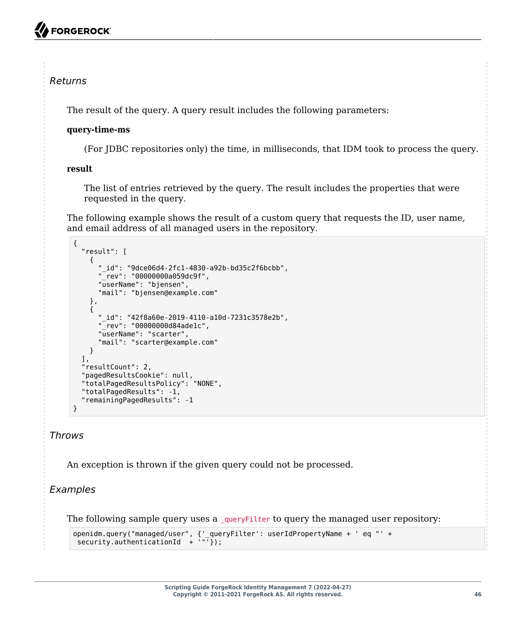# *Returns*

The result of the query. A query result includes the following parameters:

#### **query-time-ms**

(For JDBC repositories only) the time, in milliseconds, that IDM took to process the query.

#### **result**

The list of entries retrieved by the query. The result includes the properties that were requested in the query.

The following example shows the result of a custom query that requests the ID, user name, and email address of all managed users in the repository.

```
{
   "result": [
     {
 "_id": "9dce06d4-2fc1-4830-a92b-bd35c2f6bcbb",
 "_rev": "00000000a059dc9f",
       "userName": "bjensen",
       "mail": "bjensen@example.com"
     },
\left\{ \begin{array}{c} \end{array} \right. "_id": "42f8a60e-2019-4110-a10d-7231c3578e2b",
       "_rev": "00000000d84ade1c",
       "userName": "scarter",
       "mail": "scarter@example.com"
     }
   ],
   "resultCount": 2,
   "pagedResultsCookie": null,
   "totalPagedResultsPolicy": "NONE",
   "totalPagedResults": -1,
   "remainingPagedResults": -1
}
```
# *Throws*

An exception is thrown if the given query could not be processed.

# *Examples*

The following sample query uses a queryFilter to query the managed user repository:

```
openidm.query("managed/user", {'_queryFilter': userIdPropertyName + ' eq "' +
 security.authenticationId + '"'});
```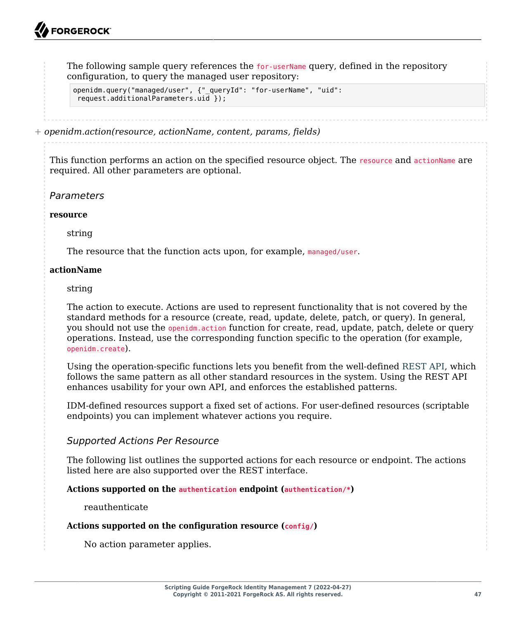The following sample query references the for-userName query, defined in the repository configuration, to query the managed user repository:

```
openidm.query("managed/user", {"_queryId": "for-userName", "uid":
 request.additionalParameters.uid });
```
*+ openidm.action(resource, actionName, content, params, fields)*

This function performs an action on the specified resource object. The resource and actionName are required. All other parameters are optional.

#### *Parameters*

#### **resource**

string

The resource that the function acts upon, for example, managed/user.

#### **actionName**

string

The action to execute. Actions are used to represent functionality that is not covered by the standard methods for a resource (create, read, update, delete, patch, or query). In general, you should not use the openidm.action function for create, read, update, patch, delete or query operations. Instead, use the corresponding function specific to the operation (for example, openidm.create).

Using the operation-specific functions lets you benefit from the well-defined REST API, which follows the same pattern as all other standard resources in the system. Using the REST API enhances usability for your own API, and enforces the established patterns.

IDM-defined resources support a fixed set of actions. For user-defined resources (scriptable endpoints) you can implement whatever actions you require.

### *Supported Actions Per Resource*

The following list outlines the supported actions for each resource or endpoint. The actions listed here are also supported over the REST interface.

#### **Actions supported on the authentication endpoint (authentication/\*)**

reauthenticate

#### **Actions supported on the configuration resource (config/)**

No action parameter applies.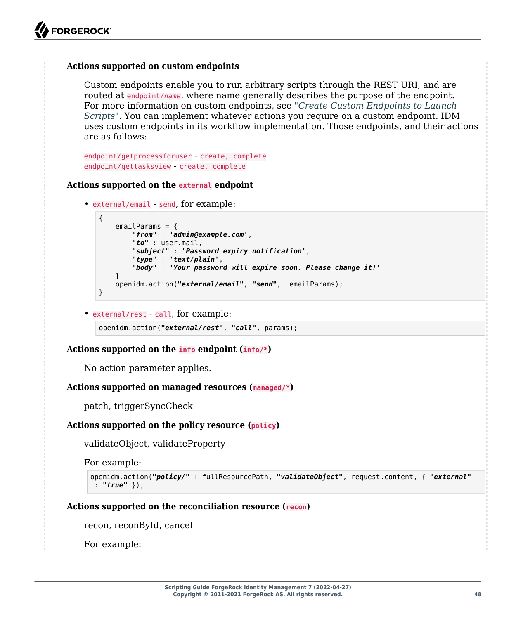#### **Actions supported on custom endpoints**

Custom endpoints enable you to run arbitrary scripts through the REST URI, and are routed at endpoint/*name*, where name generally describes the purpose of the endpoint. For more information on custom endpoints, see "*[Create Custom Endpoints to Launch](#page-13-0) [Scripts](#page-13-0)*". You can implement whatever actions you require on a custom endpoint. IDM uses custom endpoints in its workflow implementation. Those endpoints, and their actions are as follows:

endpoint/getprocessforuser - create, complete endpoint/gettasksview - create, complete

#### **Actions supported on the external endpoint**

```
• external/email - send, for example:
```

```
{
     emailParams = {
         "from" : 'admin@example.com',
         "to" : user.mail,
         "subject" : 'Password expiry notification',
         "type" : 'text/plain',
         "body" : 'Your password will expire soon. Please change it!'
 }
     openidm.action("external/email", "send", emailParams);
}
```
• external/rest - call, for example:

openidm.action(*"external/rest"*, *"call"*, params);

#### **Actions supported on the info endpoint (info/\*)**

No action parameter applies.

#### **Actions supported on managed resources (managed/***\****)**

patch, triggerSyncCheck

#### **Actions supported on the policy resource (policy)**

validateObject, validateProperty

For example:

```
openidm.action("policy/" + fullResourcePath, "validateObject", request.content, { "external"
  : "true" });
```
#### **Actions supported on the reconciliation resource (recon)**

recon, reconById, cancel

For example: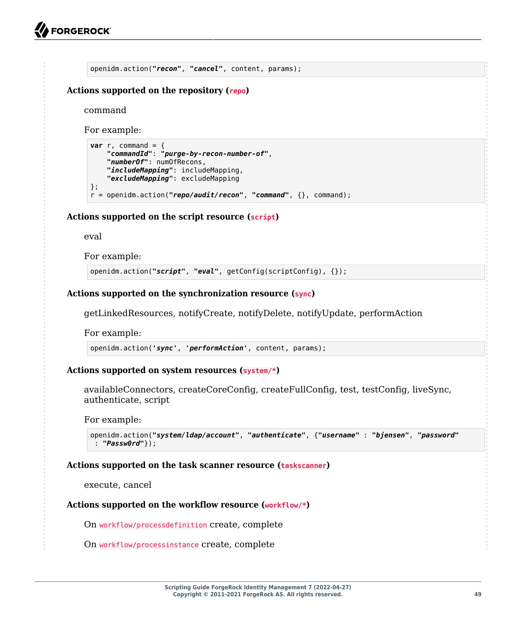```
openidm.action("recon", "cancel", content, params);
```
#### **Actions supported on the repository (repo)**

command

For example:

```
var r, command = {
     "commandId": "purge-by-recon-number-of",
     "numberOf": numOfRecons,
     "includeMapping": includeMapping,
     "excludeMapping": excludeMapping
};
r = openidm.action("repo/audit/recon", "command", {}, command);
```
#### **Actions supported on the script resource (script)**

eval

For example:

openidm.action(*"script"*, *"eval"*, getConfig(scriptConfig), {});

#### **Actions supported on the synchronization resource (sync)**

getLinkedResources, notifyCreate, notifyDelete, notifyUpdate, performAction

For example:

openidm.action(*'sync'*, *'performAction'*, content, params);

#### **Actions supported on system resources (system/***\****)**

availableConnectors, createCoreConfig, createFullConfig, test, testConfig, liveSync, authenticate, script

For example:

```
openidm.action("system/ldap/account", "authenticate", {"username" : "bjensen", "password"
  : "Passw0rd"});
```
#### **Actions supported on the task scanner resource (taskscanner)**

execute, cancel

#### **Actions supported on the workflow resource (workflow/\*)**

On workflow/processdefinition create, complete

On workflow/processinstance create, complete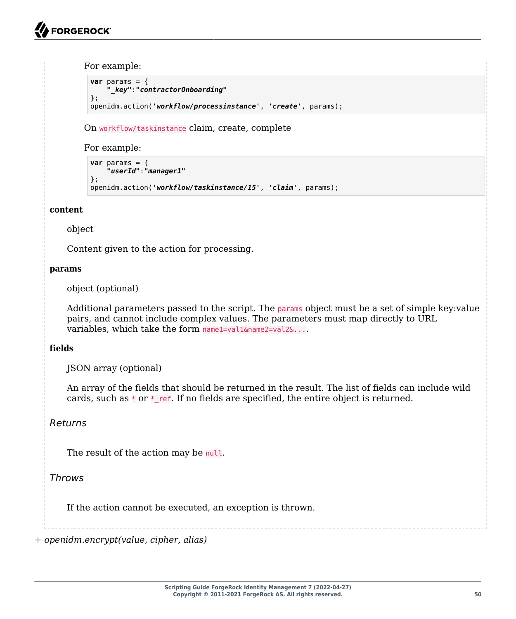For example:

```
var params = {
     "_key":"contractorOnboarding"
};
openidm.action('workflow/processinstance', 'create', params);
```
On workflow/taskinstance claim, create, complete

For example:

```
var params = {
     "userId":"manager1"
};
openidm.action('workflow/taskinstance/15', 'claim', params);
```
#### **content**

#### object

Content given to the action for processing.

#### **params**

object (optional)

Additional parameters passed to the script. The params object must be a set of simple key:value pairs, and cannot include complex values. The parameters must map directly to URL variables, which take the form namel=val1&name2=val2&....

### **fields**

JSON array (optional)

An array of the fields that should be returned in the result. The list of fields can include wild cards, such as  $*$  or  $*$  ref. If no fields are specified, the entire object is returned.

# *Returns*

The result of the action may be null.

# *Throws*

If the action cannot be executed, an exception is thrown.

*+ openidm.encrypt(value, cipher, alias)*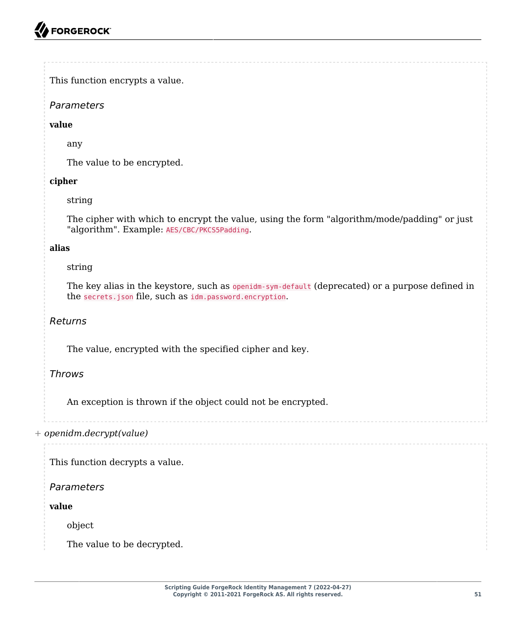# *Parameters*

### **value**

any

The value to be encrypted.

# **cipher**

# string

The cipher with which to encrypt the value, using the form "algorithm/mode/padding" or just "algorithm". Example: AES/CBC/PKCS5Padding.

# **alias**

# string

The key alias in the keystore, such as openidm-sym-default (deprecated) or a purpose defined in the secrets.json file, such as idm.password.encryption.

# *Returns*

The value, encrypted with the specified cipher and key.

# *Throws*

An exception is thrown if the object could not be encrypted.

*+ openidm.decrypt(value)*

This function decrypts a value.

*Parameters*

**value**

object

The value to be decrypted.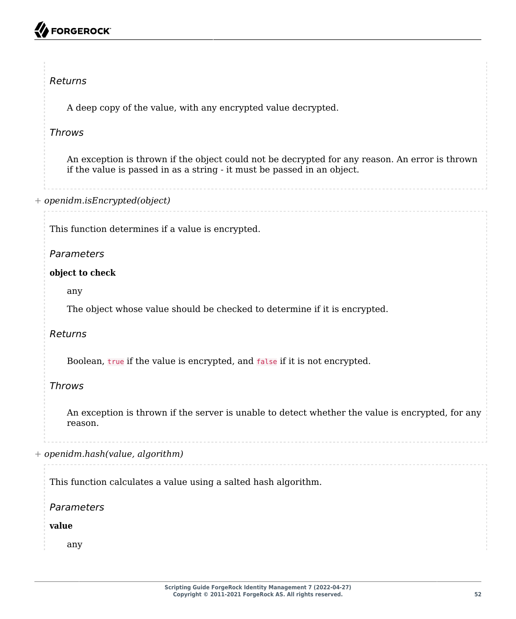# FORGEROCK

# *Returns*

A deep copy of the value, with any encrypted value decrypted.

# *Throws*

An exception is thrown if the object could not be decrypted for any reason. An error is thrown if the value is passed in as a string - it must be passed in an object.

# *+ openidm.isEncrypted(object)*

This function determines if a value is encrypted.

# *Parameters*

### **object to check**

any

The object whose value should be checked to determine if it is encrypted.

# *Returns*

Boolean, true if the value is encrypted, and false if it is not encrypted.

# *Throws*

An exception is thrown if the server is unable to detect whether the value is encrypted, for any reason.

*+ openidm.hash(value, algorithm)*

This function calculates a value using a salted hash algorithm.

*Parameters*

**value**

any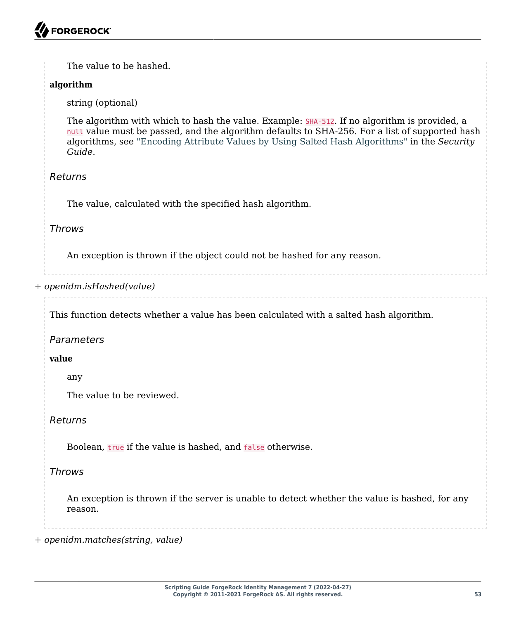The value to be hashed.

### **algorithm**

string (optional)

The algorithm with which to hash the value. Example: SHA-512. If no algorithm is provided, a null value must be passed, and the algorithm defaults to SHA-256. For a list of supported hash algorithms, see "Encoding Attribute Values by Using Salted Hash Algorithms" in the *Security Guide*.

# *Returns*

The value, calculated with the specified hash algorithm.

# *Throws*

An exception is thrown if the object could not be hashed for any reason.

### *+ openidm.isHashed(value)*

This function detects whether a value has been calculated with a salted hash algorithm.

# *Parameters*

### **value**

any

The value to be reviewed.

### *Returns*

Boolean, true if the value is hashed, and false otherwise.

# *Throws*

An exception is thrown if the server is unable to detect whether the value is hashed, for any reason.

*+ openidm.matches(string, value)*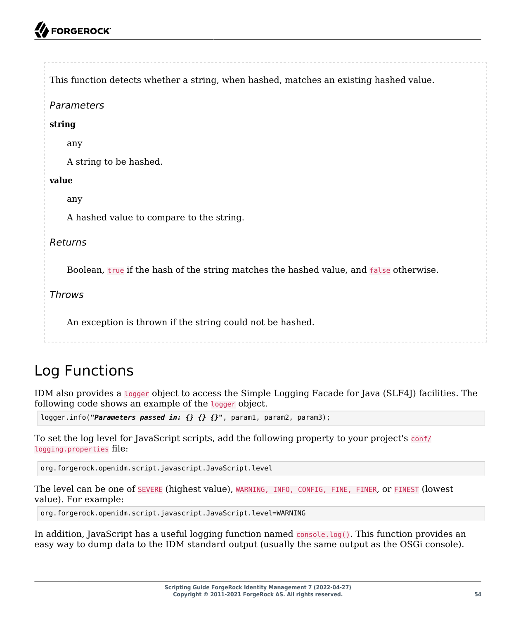# **FORGEROCK**

```
This function detects whether a string, when hashed, matches an existing hashed value.
Parameters
string
    any
   A string to be hashed.
value
    any
    A hashed value to compare to the string.
Returns
    Boolean, true if the hash of the string matches the hashed value, and false otherwise.
Throws
    An exception is thrown if the string could not be hashed.
```
# <span id="page-58-0"></span>Log Functions

IDM also provides a logger object to access the Simple Logging Facade for Java (SLF4J) facilities. The following code shows an example of the logger object.

logger.info(*"Parameters passed in: {} {} {}"*, param1, param2, param3);

To set the log level for JavaScript scripts, add the following property to your project's conf/ logging.properties file:

org.forgerock.openidm.script.javascript.JavaScript.level

The level can be one of SEVERE (highest value), WARNING, INFO, CONFIG, FINE, FINER, or FINEST (lowest value). For example:

org.forgerock.openidm.script.javascript.JavaScript.level=WARNING

In addition, JavaScript has a useful logging function named console.log(). This function provides an easy way to dump data to the IDM standard output (usually the same output as the OSGi console).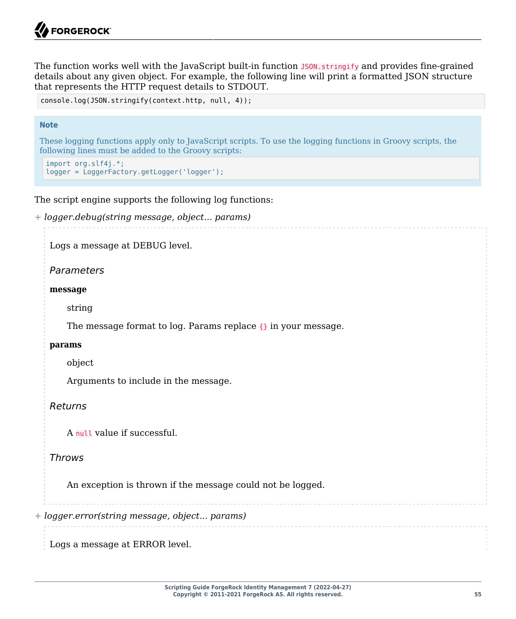The function works well with the JavaScript built-in function J<sub>50N</sub>. stringify and provides fine-grained details about any given object. For example, the following line will print a formatted JSON structure that represents the HTTP request details to STDOUT.

```
console.log(JSON.stringify(context.http, null, 4));
```
#### **Note**

These logging functions apply only to JavaScript scripts. To use the logging functions in Groovy scripts, the following lines must be added to the Groovy scripts:

```
import org.slf4j.*;
logger = LoggerFactory.getLogger('logger');
```
The script engine supports the following log functions:

```
+ logger.debug(string message, object... params)
```
Logs a message at DEBUG level.

#### *Parameters*

#### **message**

string

The message format to log. Params replace  $\{ \}$  in your message.

#### **params**

object

Arguments to include in the message.

#### *Returns*

A null value if successful.

#### *Throws*

An exception is thrown if the message could not be logged.

*+ logger.error(string message, object... params)*

Logs a message at ERROR level.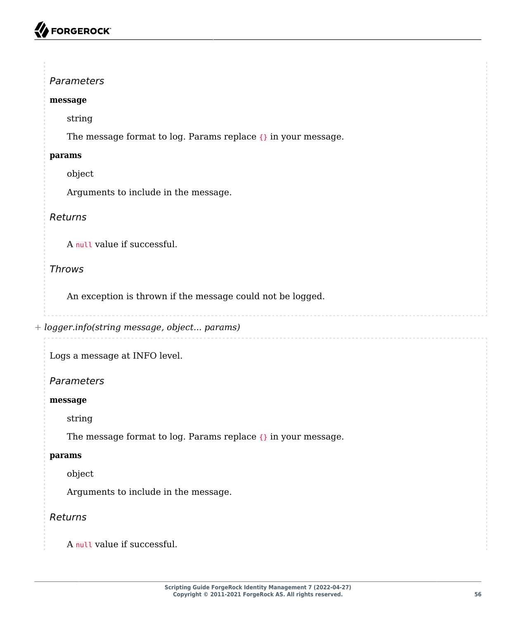# **A** FORGEROCK

# *Parameters*

### **message**

string

The message format to log. Params replace {} in your message.

### **params**

object

Arguments to include in the message.

# *Returns*

A null value if successful.

# *Throws*

An exception is thrown if the message could not be logged.

```
+ logger.info(string message, object... params)
```
Logs a message at INFO level.

# *Parameters*

### **message**

string

The message format to log. Params replace {} in your message.

### **params**

object

Arguments to include in the message.

# *Returns*

A null value if successful.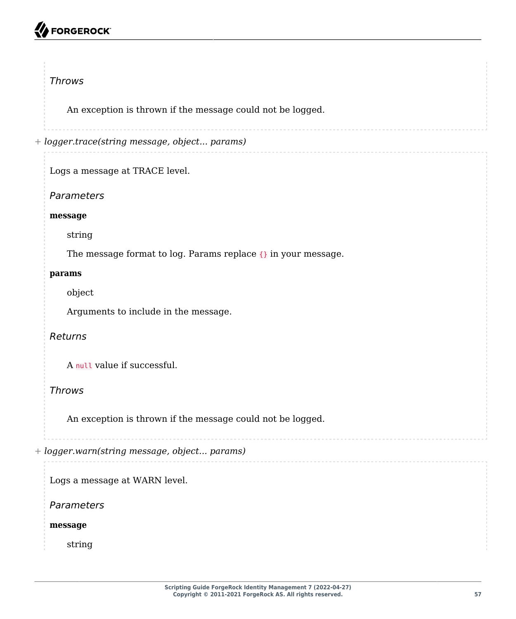# **A** FORGEROCK

### *Throws*

An exception is thrown if the message could not be logged.

*+ logger.trace(string message, object... params)*

Logs a message at TRACE level.

*Parameters*

#### **message**

string

The message format to log. Params replace {} in your message.

#### **params**

object

Arguments to include in the message.

### *Returns*

A null value if successful.

### *Throws*

An exception is thrown if the message could not be logged.

*+ logger.warn(string message, object... params)*

Logs a message at WARN level.

*Parameters*

**message**

string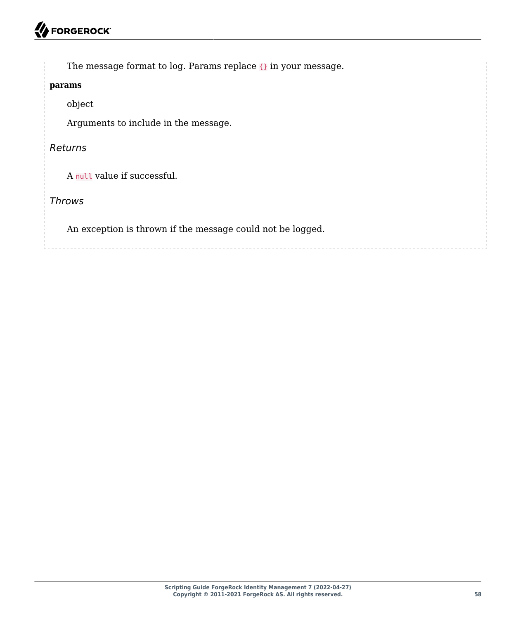The message format to log. Params replace  $\{\}$  in your message.

#### **params**

object

Arguments to include in the message.

#### *Returns*

A null value if successful.

# *Throws*

An exception is thrown if the message could not be logged.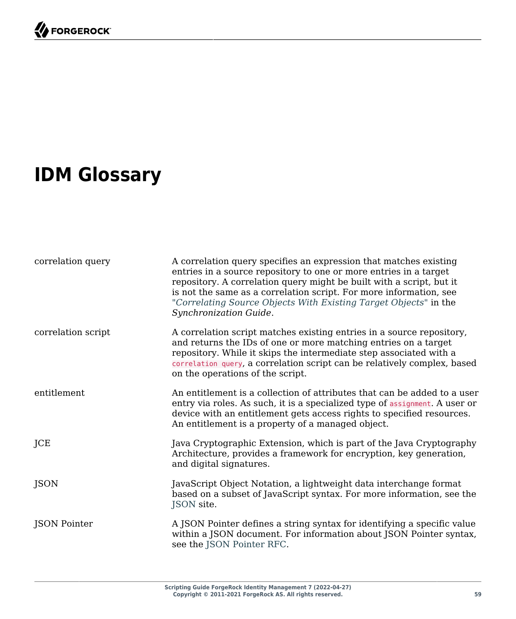# <span id="page-63-0"></span>**IDM Glossary**

| correlation query  | A correlation query specifies an expression that matches existing<br>entries in a source repository to one or more entries in a target<br>repository. A correlation query might be built with a script, but it<br>is not the same as a correlation script. For more information, see<br>"Correlating Source Objects With Existing Target Objects" in the<br>Synchronization Guide. |
|--------------------|------------------------------------------------------------------------------------------------------------------------------------------------------------------------------------------------------------------------------------------------------------------------------------------------------------------------------------------------------------------------------------|
| correlation script | A correlation script matches existing entries in a source repository,<br>and returns the IDs of one or more matching entries on a target<br>repository. While it skips the intermediate step associated with a<br>correlation query, a correlation script can be relatively complex, based<br>on the operations of the script.                                                     |
| entitlement        | An entitlement is a collection of attributes that can be added to a user<br>entry via roles. As such, it is a specialized type of assignment. A user or<br>device with an entitlement gets access rights to specified resources.<br>An entitlement is a property of a managed object.                                                                                              |
| JCE                | Java Cryptographic Extension, which is part of the Java Cryptography<br>Architecture, provides a framework for encryption, key generation,<br>and digital signatures.                                                                                                                                                                                                              |
| <b>JSON</b>        | JavaScript Object Notation, a lightweight data interchange format<br>based on a subset of JavaScript syntax. For more information, see the<br>JSON site.                                                                                                                                                                                                                           |
| JSON Pointer       | A JSON Pointer defines a string syntax for identifying a specific value<br>within a JSON document. For information about JSON Pointer syntax,<br>see the JSON Pointer RFC.                                                                                                                                                                                                         |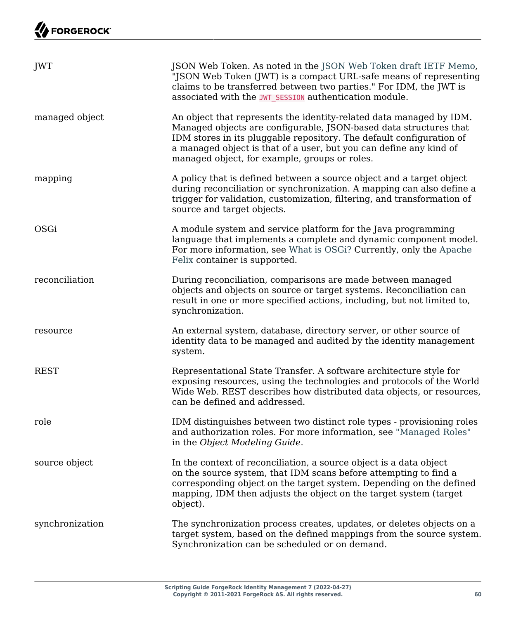| JWT             | JSON Web Token. As noted in the JSON Web Token draft IETF Memo,<br>"JSON Web Token (JWT) is a compact URL-safe means of representing<br>claims to be transferred between two parties." For IDM, the JWT is<br>associated with the JWT SESSION authentication module.                                                                    |
|-----------------|-----------------------------------------------------------------------------------------------------------------------------------------------------------------------------------------------------------------------------------------------------------------------------------------------------------------------------------------|
| managed object  | An object that represents the identity-related data managed by IDM.<br>Managed objects are configurable, JSON-based data structures that<br>IDM stores in its pluggable repository. The default configuration of<br>a managed object is that of a user, but you can define any kind of<br>managed object, for example, groups or roles. |
| mapping         | A policy that is defined between a source object and a target object<br>during reconciliation or synchronization. A mapping can also define a<br>trigger for validation, customization, filtering, and transformation of<br>source and target objects.                                                                                  |
| OSGi            | A module system and service platform for the Java programming<br>language that implements a complete and dynamic component model.<br>For more information, see What is OSGi? Currently, only the Apache<br>Felix container is supported.                                                                                                |
| reconciliation  | During reconciliation, comparisons are made between managed<br>objects and objects on source or target systems. Reconciliation can<br>result in one or more specified actions, including, but not limited to,<br>synchronization.                                                                                                       |
| resource        | An external system, database, directory server, or other source of<br>identity data to be managed and audited by the identity management<br>system.                                                                                                                                                                                     |
| <b>REST</b>     | Representational State Transfer. A software architecture style for<br>exposing resources, using the technologies and protocols of the World<br>Wide Web. REST describes how distributed data objects, or resources,<br>can be defined and addressed.                                                                                    |
| role            | IDM distinguishes between two distinct role types - provisioning roles<br>and authorization roles. For more information, see "Managed Roles"<br>in the Object Modeling Guide.                                                                                                                                                           |
| source object   | In the context of reconciliation, a source object is a data object<br>on the source system, that IDM scans before attempting to find a<br>corresponding object on the target system. Depending on the defined<br>mapping, IDM then adjusts the object on the target system (target<br>object).                                          |
| synchronization | The synchronization process creates, updates, or deletes objects on a<br>target system, based on the defined mappings from the source system.<br>Synchronization can be scheduled or on demand.                                                                                                                                         |